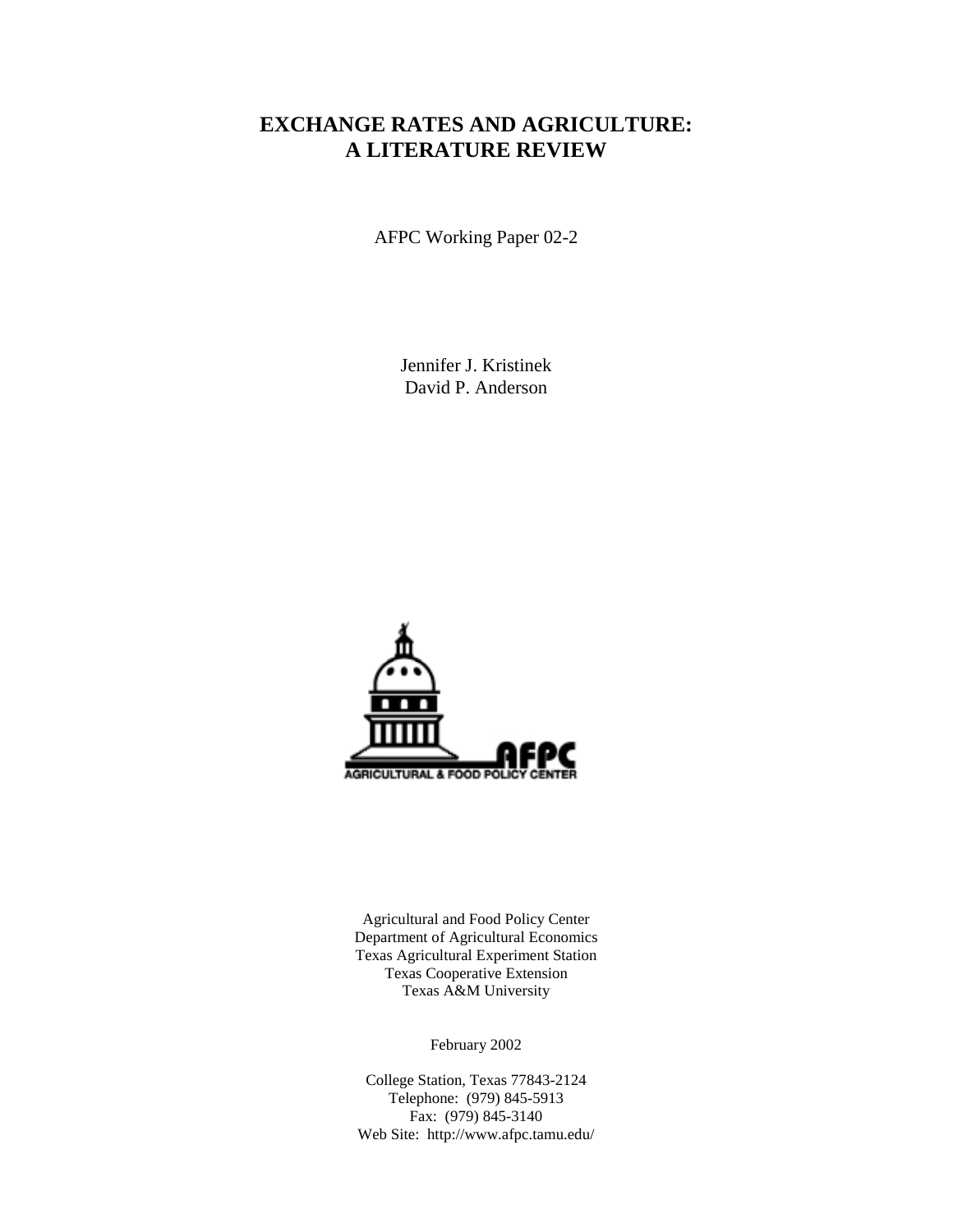# **EXCHANGE RATES AND AGRICULTURE: A LITERATURE REVIEW**

AFPC Working Paper 02-2

Jennifer J. Kristinek David P. Anderson



Agricultural and Food Policy Center Department of Agricultural Economics Texas Agricultural Experiment Station Texas Cooperative Extension Texas A&M University

February 2002

College Station, Texas 77843-2124 Telephone: (979) 845-5913 Fax: (979) 845-3140 Web Site: http://www.afpc.tamu.edu/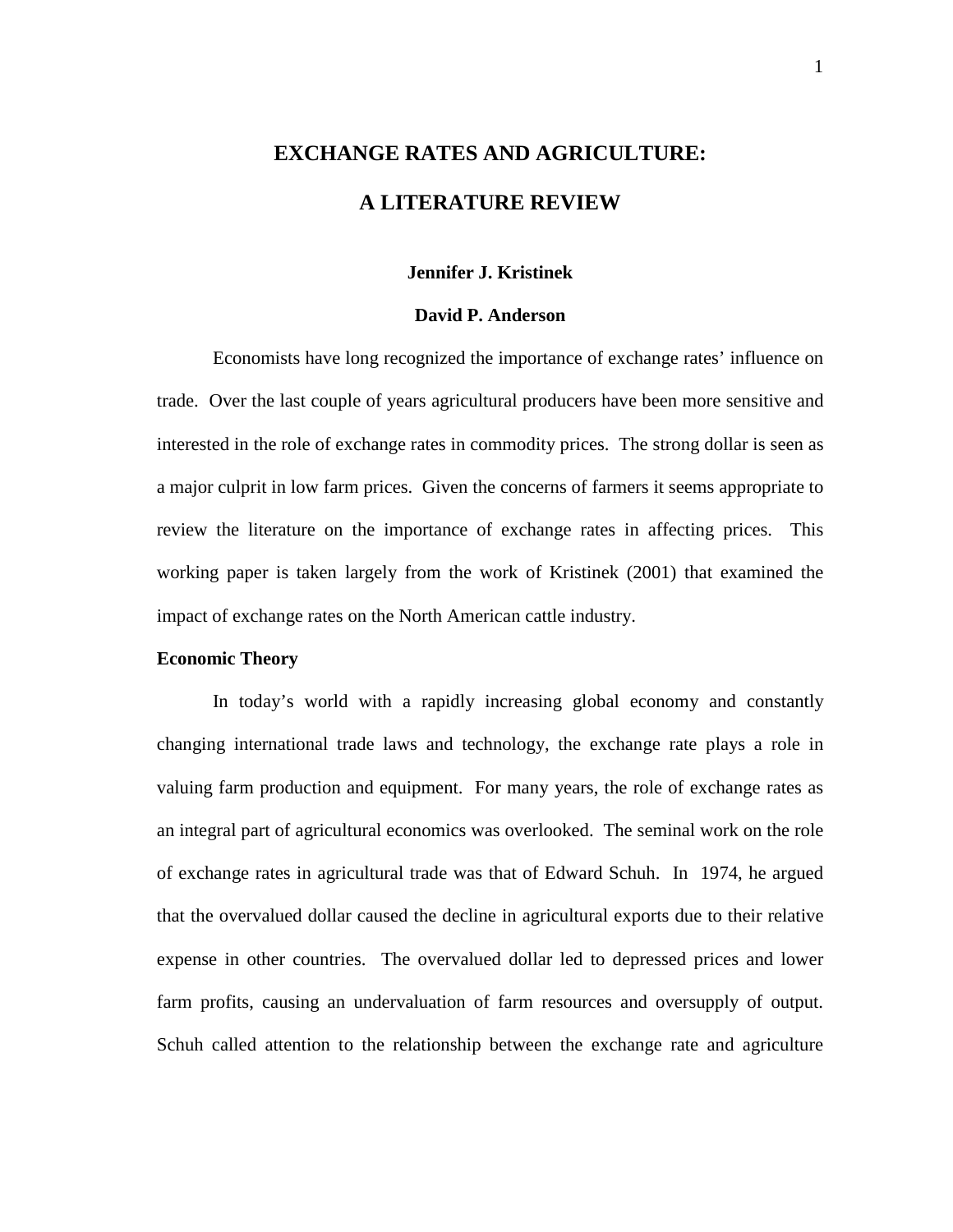# **EXCHANGE RATES AND AGRICULTURE: A LITERATURE REVIEW**

# **Jennifer J. Kristinek**

# **David P. Anderson**

 Economists have long recognized the importance of exchange rates' influence on trade. Over the last couple of years agricultural producers have been more sensitive and interested in the role of exchange rates in commodity prices. The strong dollar is seen as a major culprit in low farm prices. Given the concerns of farmers it seems appropriate to review the literature on the importance of exchange rates in affecting prices. This working paper is taken largely from the work of Kristinek (2001) that examined the impact of exchange rates on the North American cattle industry.

# **Economic Theory**

In today's world with a rapidly increasing global economy and constantly changing international trade laws and technology, the exchange rate plays a role in valuing farm production and equipment. For many years, the role of exchange rates as an integral part of agricultural economics was overlooked. The seminal work on the role of exchange rates in agricultural trade was that of Edward Schuh. In 1974, he argued that the overvalued dollar caused the decline in agricultural exports due to their relative expense in other countries. The overvalued dollar led to depressed prices and lower farm profits, causing an undervaluation of farm resources and oversupply of output. Schuh called attention to the relationship between the exchange rate and agriculture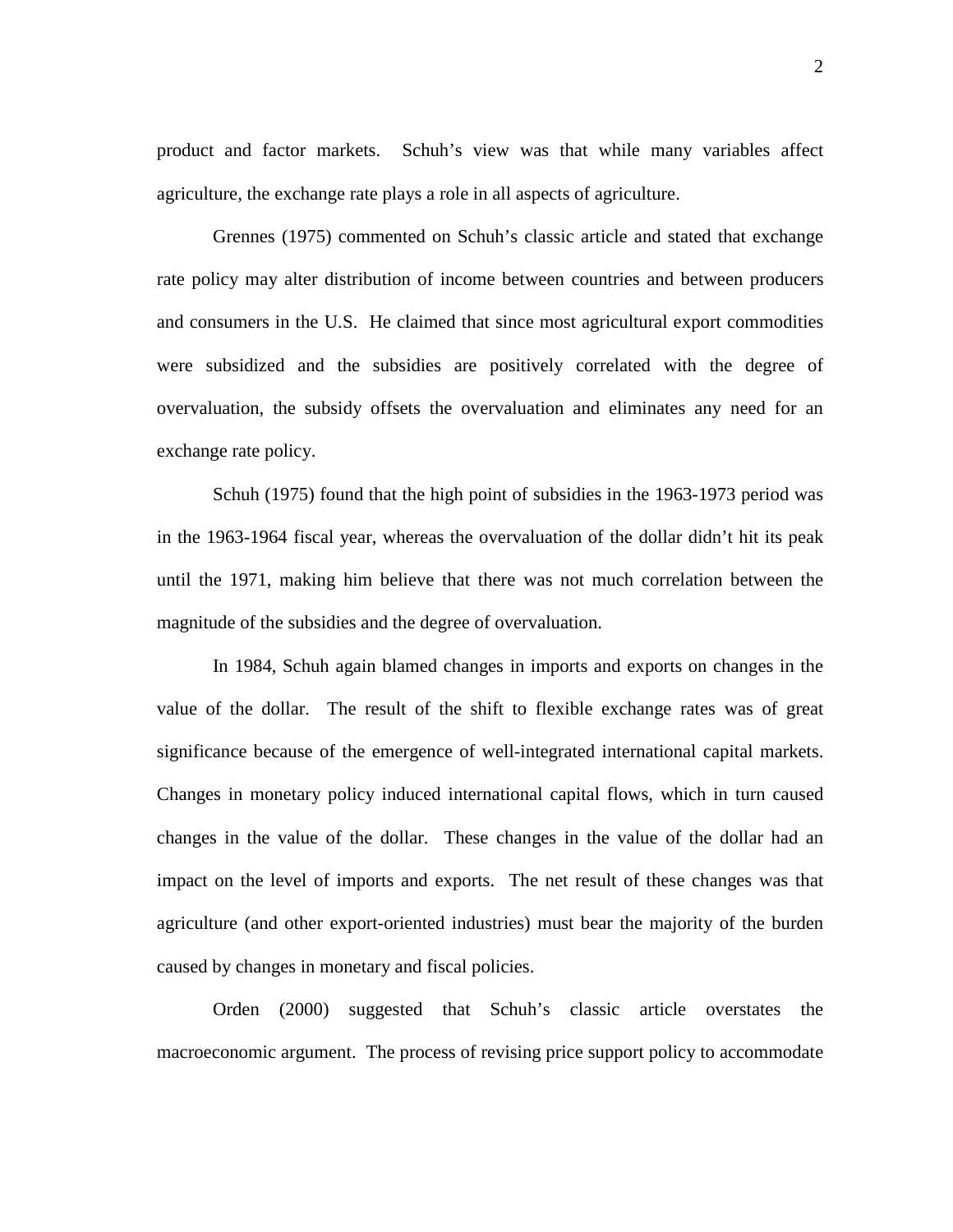product and factor markets. Schuh's view was that while many variables affect agriculture, the exchange rate plays a role in all aspects of agriculture.

Grennes (1975) commented on Schuh's classic article and stated that exchange rate policy may alter distribution of income between countries and between producers and consumers in the U.S. He claimed that since most agricultural export commodities were subsidized and the subsidies are positively correlated with the degree of overvaluation, the subsidy offsets the overvaluation and eliminates any need for an exchange rate policy.

Schuh (1975) found that the high point of subsidies in the 1963-1973 period was in the 1963-1964 fiscal year, whereas the overvaluation of the dollar didn't hit its peak until the 1971, making him believe that there was not much correlation between the magnitude of the subsidies and the degree of overvaluation.

In 1984, Schuh again blamed changes in imports and exports on changes in the value of the dollar. The result of the shift to flexible exchange rates was of great significance because of the emergence of well-integrated international capital markets. Changes in monetary policy induced international capital flows, which in turn caused changes in the value of the dollar. These changes in the value of the dollar had an impact on the level of imports and exports. The net result of these changes was that agriculture (and other export-oriented industries) must bear the majority of the burden caused by changes in monetary and fiscal policies.

Orden (2000) suggested that Schuh's classic article overstates the macroeconomic argument. The process of revising price support policy to accommodate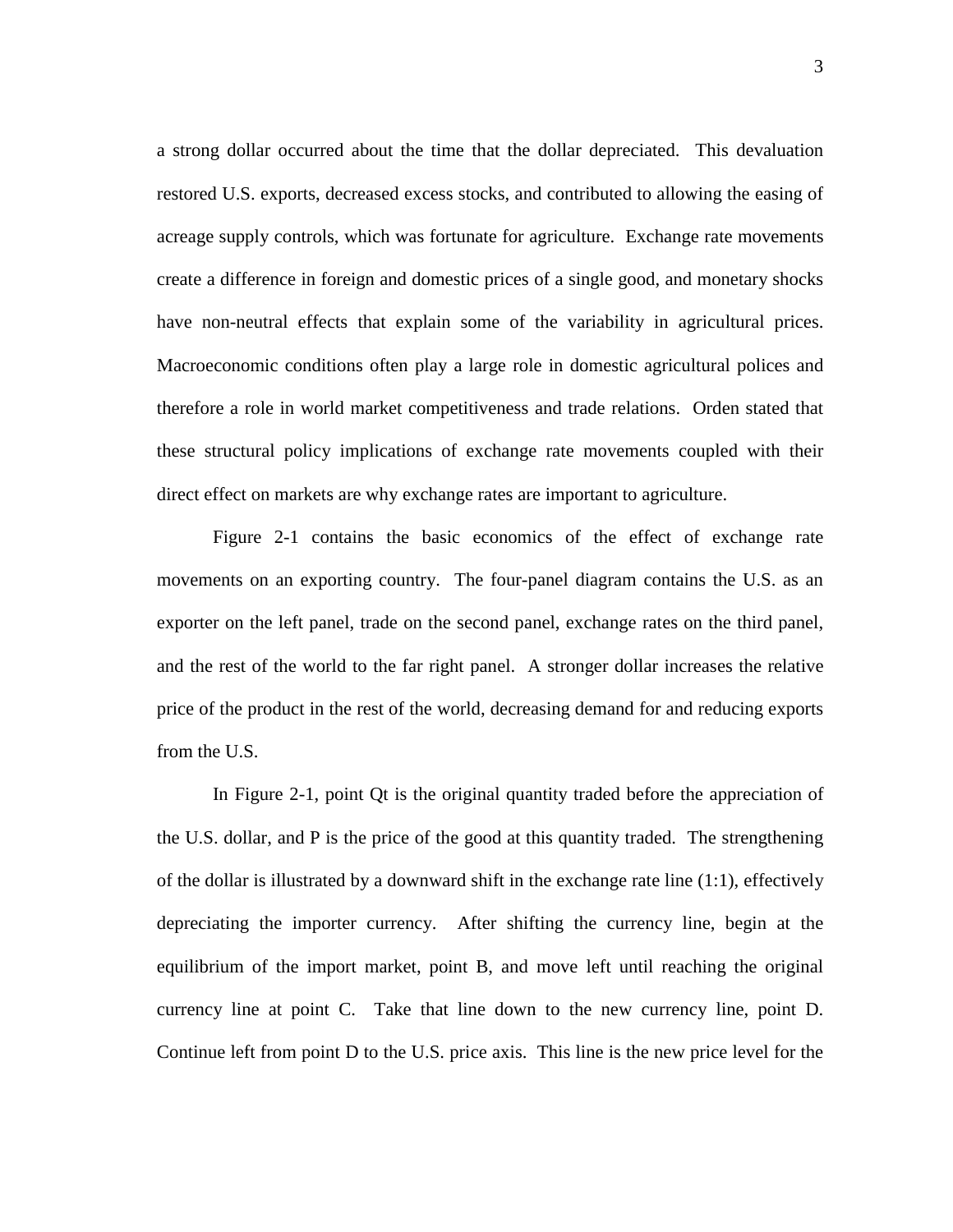a strong dollar occurred about the time that the dollar depreciated. This devaluation restored U.S. exports, decreased excess stocks, and contributed to allowing the easing of acreage supply controls, which was fortunate for agriculture. Exchange rate movements create a difference in foreign and domestic prices of a single good, and monetary shocks have non-neutral effects that explain some of the variability in agricultural prices. Macroeconomic conditions often play a large role in domestic agricultural polices and therefore a role in world market competitiveness and trade relations. Orden stated that these structural policy implications of exchange rate movements coupled with their direct effect on markets are why exchange rates are important to agriculture.

Figure 2-1 contains the basic economics of the effect of exchange rate movements on an exporting country. The four-panel diagram contains the U.S. as an exporter on the left panel, trade on the second panel, exchange rates on the third panel, and the rest of the world to the far right panel. A stronger dollar increases the relative price of the product in the rest of the world, decreasing demand for and reducing exports from the U.S.

In Figure 2-1, point Qt is the original quantity traded before the appreciation of the U.S. dollar, and P is the price of the good at this quantity traded. The strengthening of the dollar is illustrated by a downward shift in the exchange rate line (1:1), effectively depreciating the importer currency. After shifting the currency line, begin at the equilibrium of the import market, point B, and move left until reaching the original currency line at point C. Take that line down to the new currency line, point D. Continue left from point D to the U.S. price axis. This line is the new price level for the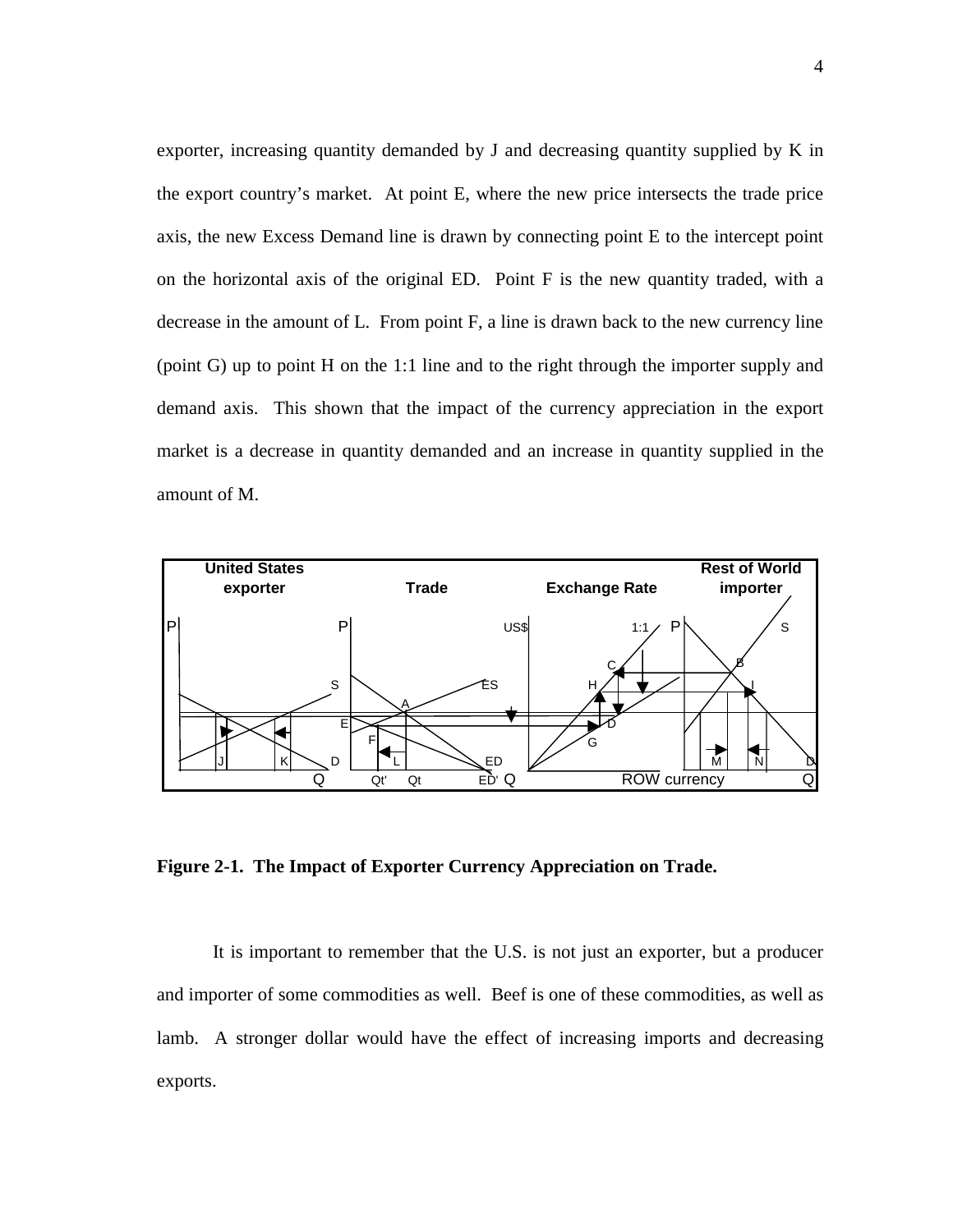exporter, increasing quantity demanded by J and decreasing quantity supplied by K in the export country's market. At point E, where the new price intersects the trade price axis, the new Excess Demand line is drawn by connecting point E to the intercept point on the horizontal axis of the original ED. Point F is the new quantity traded, with a decrease in the amount of L. From point F, a line is drawn back to the new currency line (point G) up to point H on the 1:1 line and to the right through the importer supply and demand axis. This shown that the impact of the currency appreciation in the export market is a decrease in quantity demanded and an increase in quantity supplied in the amount of M.



**Figure 2-1. The Impact of Exporter Currency Appreciation on Trade.**

It is important to remember that the U.S. is not just an exporter, but a producer and importer of some commodities as well. Beef is one of these commodities, as well as lamb. A stronger dollar would have the effect of increasing imports and decreasing exports.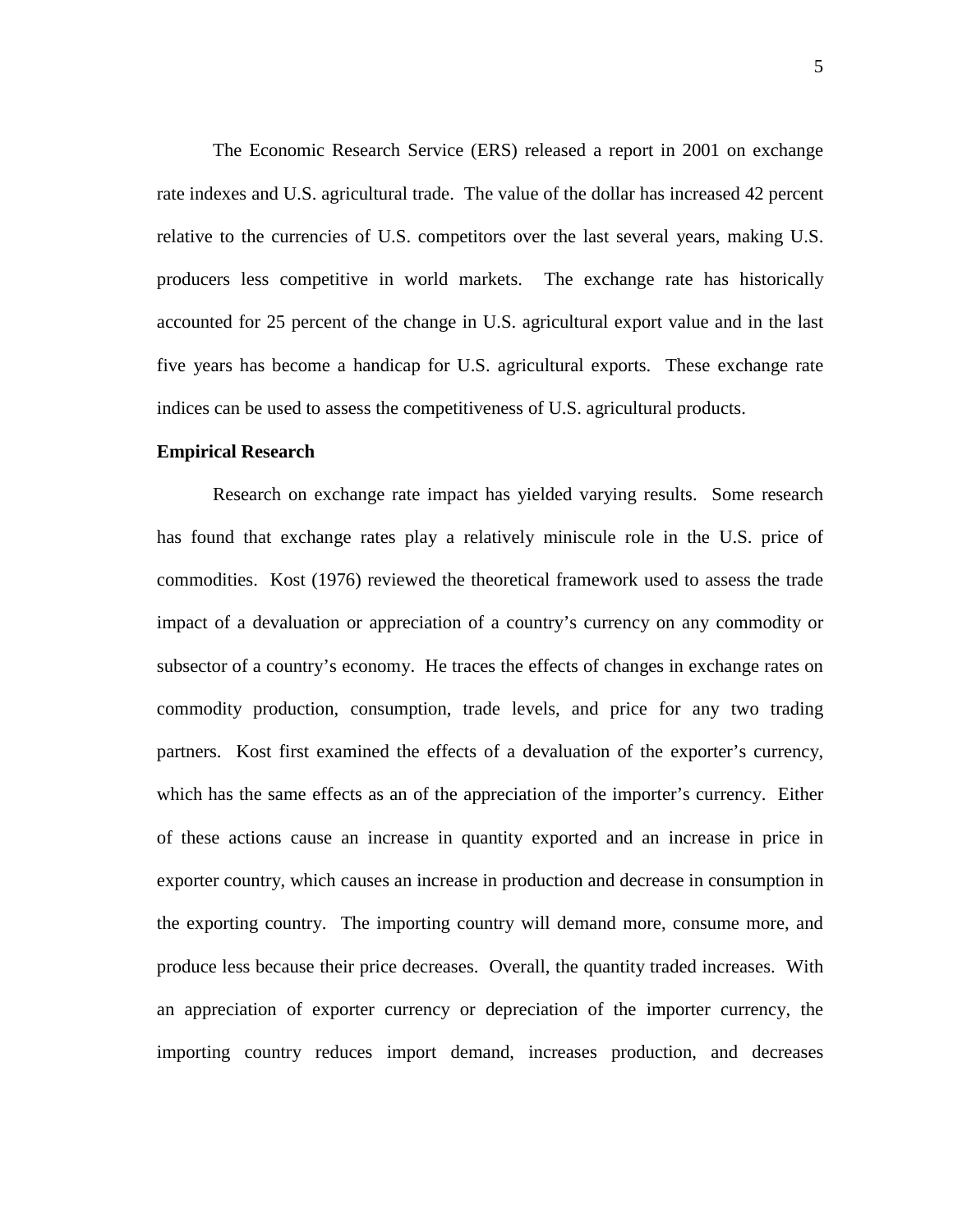The Economic Research Service (ERS) released a report in 2001 on exchange rate indexes and U.S. agricultural trade. The value of the dollar has increased 42 percent relative to the currencies of U.S. competitors over the last several years, making U.S. producers less competitive in world markets. The exchange rate has historically accounted for 25 percent of the change in U.S. agricultural export value and in the last five years has become a handicap for U.S. agricultural exports. These exchange rate indices can be used to assess the competitiveness of U.S. agricultural products.

#### **Empirical Research**

Research on exchange rate impact has yielded varying results. Some research has found that exchange rates play a relatively miniscule role in the U.S. price of commodities. Kost (1976) reviewed the theoretical framework used to assess the trade impact of a devaluation or appreciation of a country's currency on any commodity or subsector of a country's economy. He traces the effects of changes in exchange rates on commodity production, consumption, trade levels, and price for any two trading partners. Kost first examined the effects of a devaluation of the exporter's currency, which has the same effects as an of the appreciation of the importer's currency. Either of these actions cause an increase in quantity exported and an increase in price in exporter country, which causes an increase in production and decrease in consumption in the exporting country. The importing country will demand more, consume more, and produce less because their price decreases. Overall, the quantity traded increases. With an appreciation of exporter currency or depreciation of the importer currency, the importing country reduces import demand, increases production, and decreases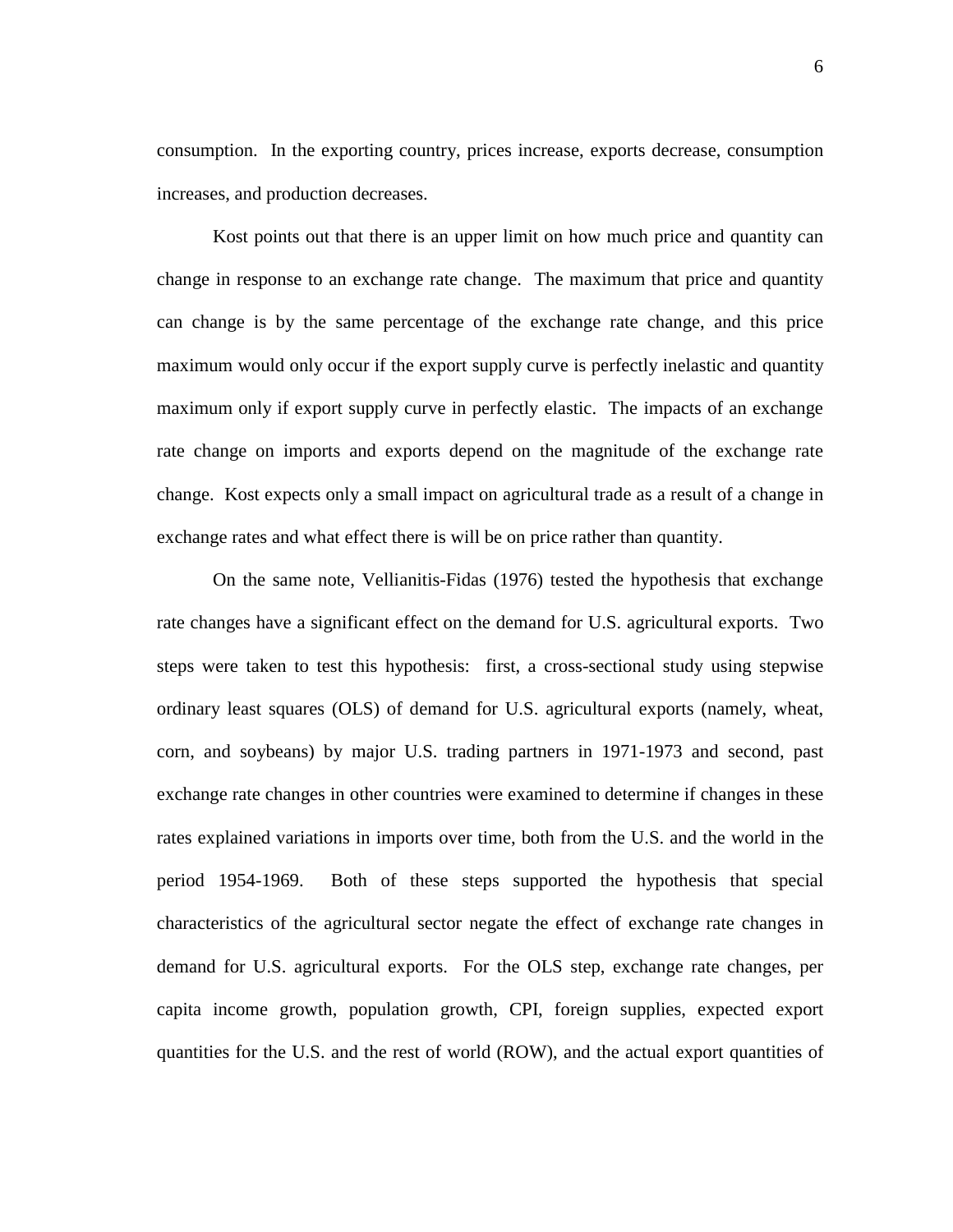consumption. In the exporting country, prices increase, exports decrease, consumption increases, and production decreases.

Kost points out that there is an upper limit on how much price and quantity can change in response to an exchange rate change. The maximum that price and quantity can change is by the same percentage of the exchange rate change, and this price maximum would only occur if the export supply curve is perfectly inelastic and quantity maximum only if export supply curve in perfectly elastic. The impacts of an exchange rate change on imports and exports depend on the magnitude of the exchange rate change. Kost expects only a small impact on agricultural trade as a result of a change in exchange rates and what effect there is will be on price rather than quantity.

On the same note, Vellianitis-Fidas (1976) tested the hypothesis that exchange rate changes have a significant effect on the demand for U.S. agricultural exports. Two steps were taken to test this hypothesis: first, a cross-sectional study using stepwise ordinary least squares (OLS) of demand for U.S. agricultural exports (namely, wheat, corn, and soybeans) by major U.S. trading partners in 1971-1973 and second, past exchange rate changes in other countries were examined to determine if changes in these rates explained variations in imports over time, both from the U.S. and the world in the period 1954-1969. Both of these steps supported the hypothesis that special characteristics of the agricultural sector negate the effect of exchange rate changes in demand for U.S. agricultural exports. For the OLS step, exchange rate changes, per capita income growth, population growth, CPI, foreign supplies, expected export quantities for the U.S. and the rest of world (ROW), and the actual export quantities of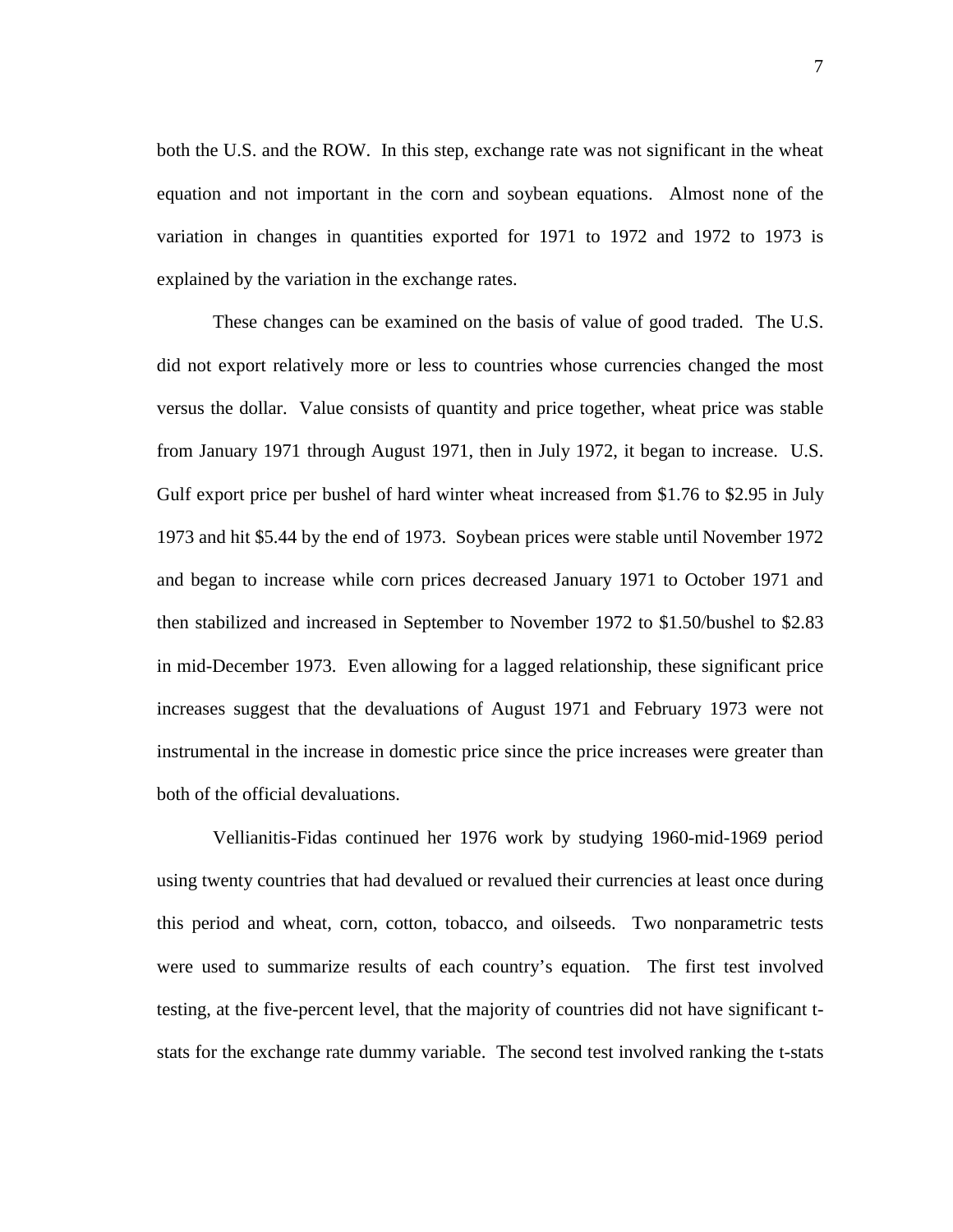both the U.S. and the ROW. In this step, exchange rate was not significant in the wheat equation and not important in the corn and soybean equations. Almost none of the variation in changes in quantities exported for 1971 to 1972 and 1972 to 1973 is explained by the variation in the exchange rates.

These changes can be examined on the basis of value of good traded. The U.S. did not export relatively more or less to countries whose currencies changed the most versus the dollar. Value consists of quantity and price together, wheat price was stable from January 1971 through August 1971, then in July 1972, it began to increase. U.S. Gulf export price per bushel of hard winter wheat increased from \$1.76 to \$2.95 in July 1973 and hit \$5.44 by the end of 1973. Soybean prices were stable until November 1972 and began to increase while corn prices decreased January 1971 to October 1971 and then stabilized and increased in September to November 1972 to \$1.50/bushel to \$2.83 in mid-December 1973. Even allowing for a lagged relationship, these significant price increases suggest that the devaluations of August 1971 and February 1973 were not instrumental in the increase in domestic price since the price increases were greater than both of the official devaluations.

Vellianitis-Fidas continued her 1976 work by studying 1960-mid-1969 period using twenty countries that had devalued or revalued their currencies at least once during this period and wheat, corn, cotton, tobacco, and oilseeds. Two nonparametric tests were used to summarize results of each country's equation. The first test involved testing, at the five-percent level, that the majority of countries did not have significant tstats for the exchange rate dummy variable. The second test involved ranking the t-stats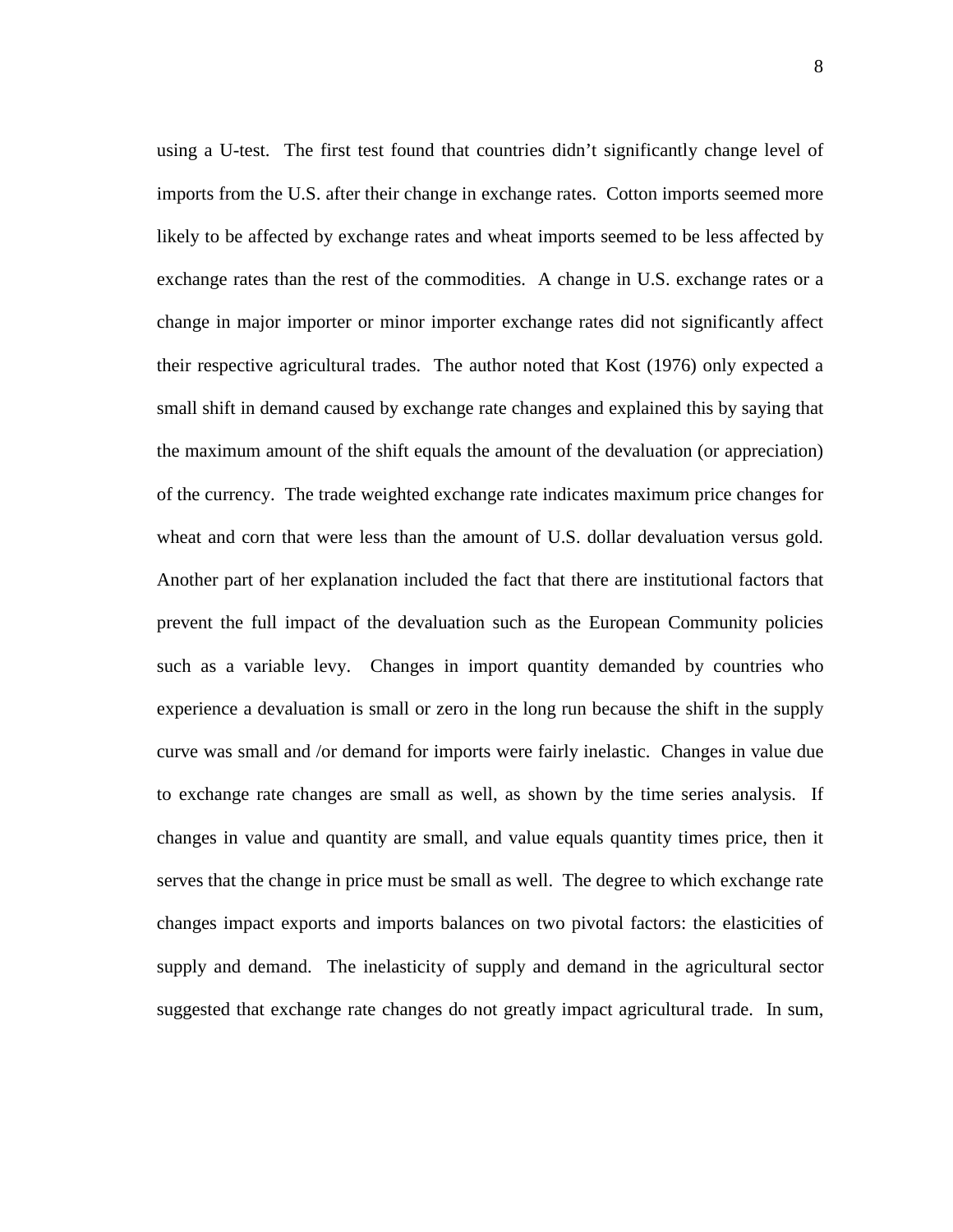using a U-test. The first test found that countries didn't significantly change level of imports from the U.S. after their change in exchange rates. Cotton imports seemed more likely to be affected by exchange rates and wheat imports seemed to be less affected by exchange rates than the rest of the commodities. A change in U.S. exchange rates or a change in major importer or minor importer exchange rates did not significantly affect their respective agricultural trades. The author noted that Kost (1976) only expected a small shift in demand caused by exchange rate changes and explained this by saying that the maximum amount of the shift equals the amount of the devaluation (or appreciation) of the currency. The trade weighted exchange rate indicates maximum price changes for wheat and corn that were less than the amount of U.S. dollar devaluation versus gold. Another part of her explanation included the fact that there are institutional factors that prevent the full impact of the devaluation such as the European Community policies such as a variable levy. Changes in import quantity demanded by countries who experience a devaluation is small or zero in the long run because the shift in the supply curve was small and /or demand for imports were fairly inelastic. Changes in value due to exchange rate changes are small as well, as shown by the time series analysis. If changes in value and quantity are small, and value equals quantity times price, then it serves that the change in price must be small as well. The degree to which exchange rate changes impact exports and imports balances on two pivotal factors: the elasticities of supply and demand. The inelasticity of supply and demand in the agricultural sector suggested that exchange rate changes do not greatly impact agricultural trade. In sum,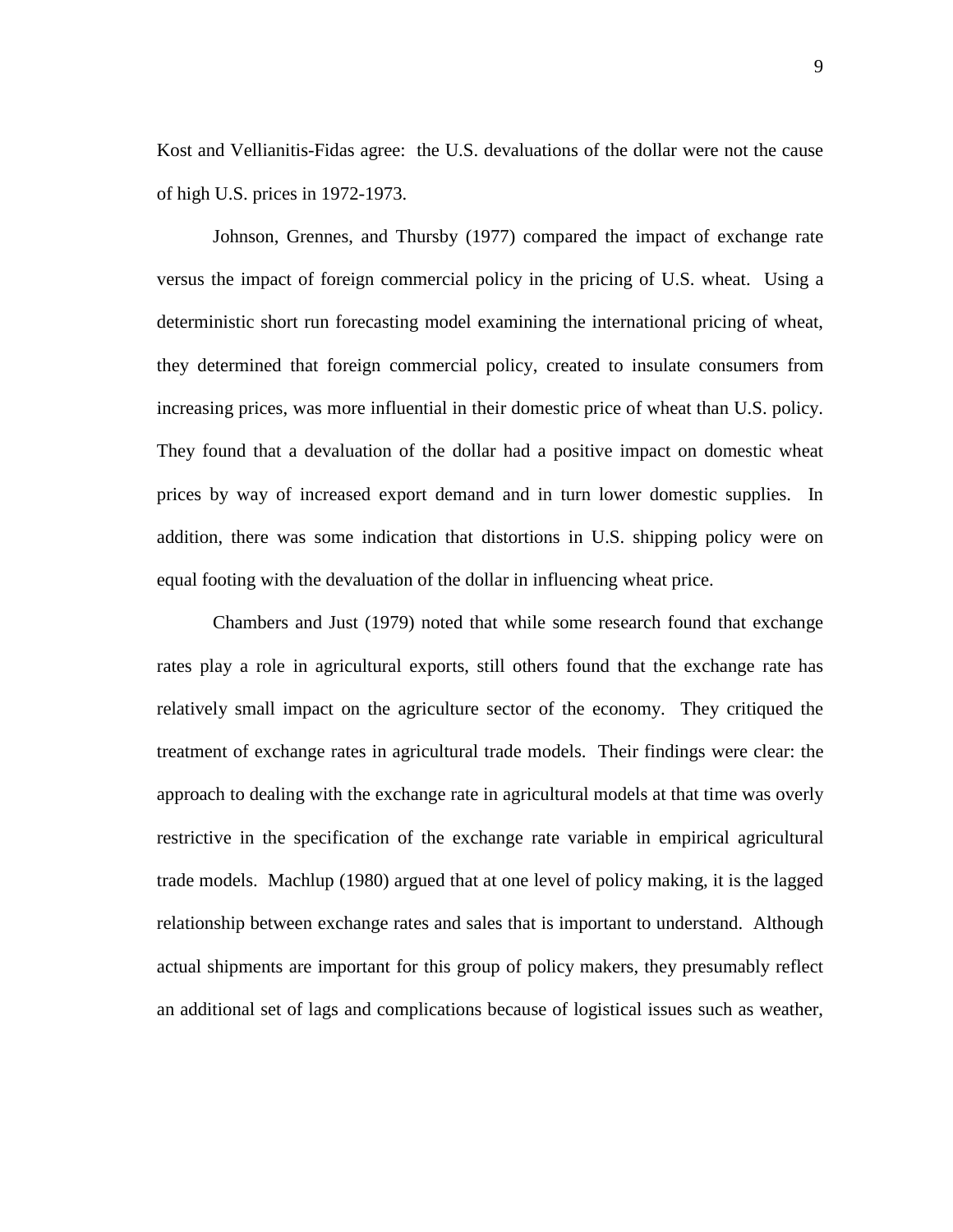Kost and Vellianitis-Fidas agree: the U.S. devaluations of the dollar were not the cause of high U.S. prices in 1972-1973.

Johnson, Grennes, and Thursby (1977) compared the impact of exchange rate versus the impact of foreign commercial policy in the pricing of U.S. wheat. Using a deterministic short run forecasting model examining the international pricing of wheat, they determined that foreign commercial policy, created to insulate consumers from increasing prices, was more influential in their domestic price of wheat than U.S. policy. They found that a devaluation of the dollar had a positive impact on domestic wheat prices by way of increased export demand and in turn lower domestic supplies. In addition, there was some indication that distortions in U.S. shipping policy were on equal footing with the devaluation of the dollar in influencing wheat price.

Chambers and Just (1979) noted that while some research found that exchange rates play a role in agricultural exports, still others found that the exchange rate has relatively small impact on the agriculture sector of the economy. They critiqued the treatment of exchange rates in agricultural trade models. Their findings were clear: the approach to dealing with the exchange rate in agricultural models at that time was overly restrictive in the specification of the exchange rate variable in empirical agricultural trade models. Machlup (1980) argued that at one level of policy making, it is the lagged relationship between exchange rates and sales that is important to understand. Although actual shipments are important for this group of policy makers, they presumably reflect an additional set of lags and complications because of logistical issues such as weather,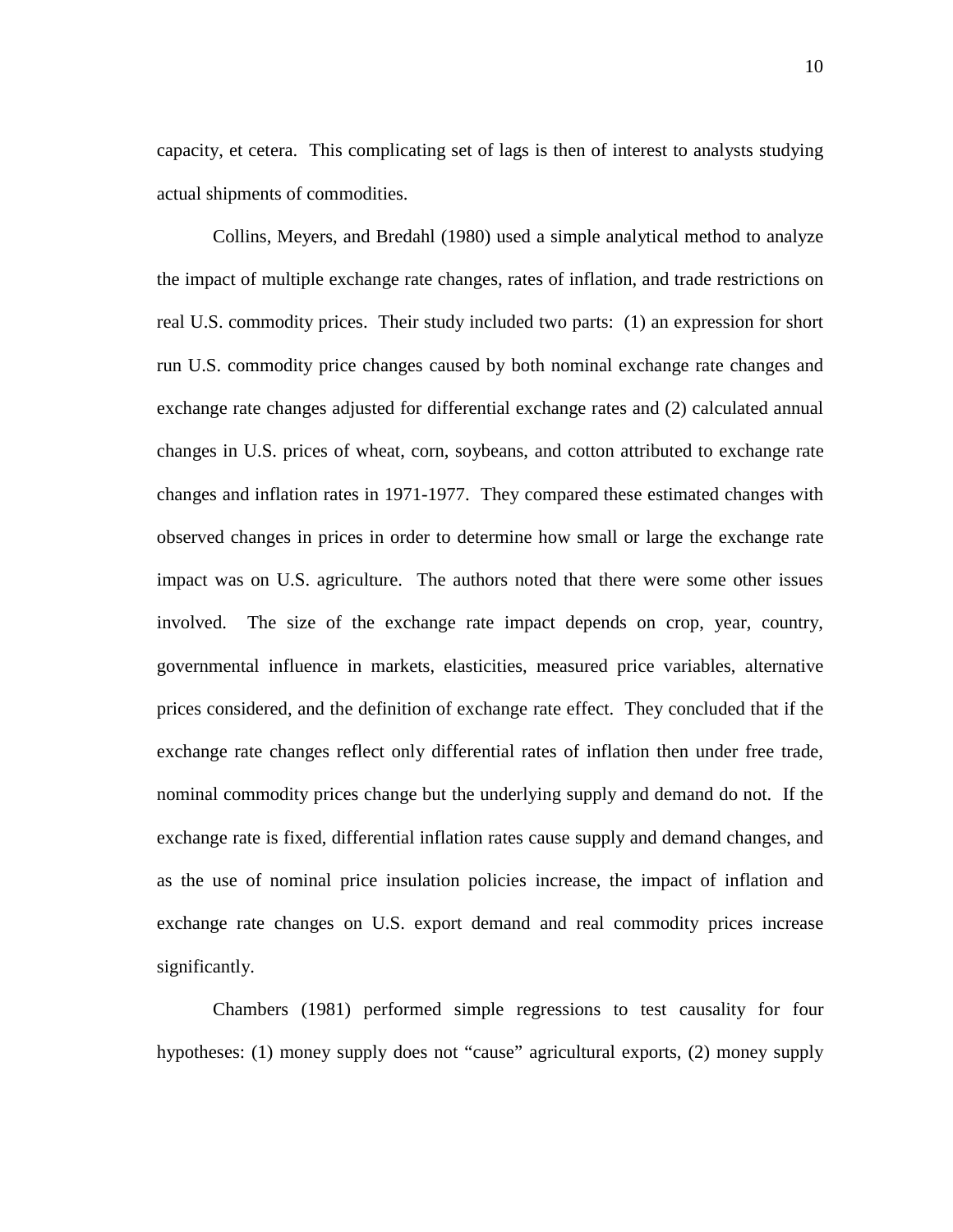capacity, et cetera. This complicating set of lags is then of interest to analysts studying actual shipments of commodities.

Collins, Meyers, and Bredahl (1980) used a simple analytical method to analyze the impact of multiple exchange rate changes, rates of inflation, and trade restrictions on real U.S. commodity prices. Their study included two parts: (1) an expression for short run U.S. commodity price changes caused by both nominal exchange rate changes and exchange rate changes adjusted for differential exchange rates and (2) calculated annual changes in U.S. prices of wheat, corn, soybeans, and cotton attributed to exchange rate changes and inflation rates in 1971-1977. They compared these estimated changes with observed changes in prices in order to determine how small or large the exchange rate impact was on U.S. agriculture. The authors noted that there were some other issues involved. The size of the exchange rate impact depends on crop, year, country, governmental influence in markets, elasticities, measured price variables, alternative prices considered, and the definition of exchange rate effect. They concluded that if the exchange rate changes reflect only differential rates of inflation then under free trade, nominal commodity prices change but the underlying supply and demand do not. If the exchange rate is fixed, differential inflation rates cause supply and demand changes, and as the use of nominal price insulation policies increase, the impact of inflation and exchange rate changes on U.S. export demand and real commodity prices increase significantly.

Chambers (1981) performed simple regressions to test causality for four hypotheses: (1) money supply does not "cause" agricultural exports, (2) money supply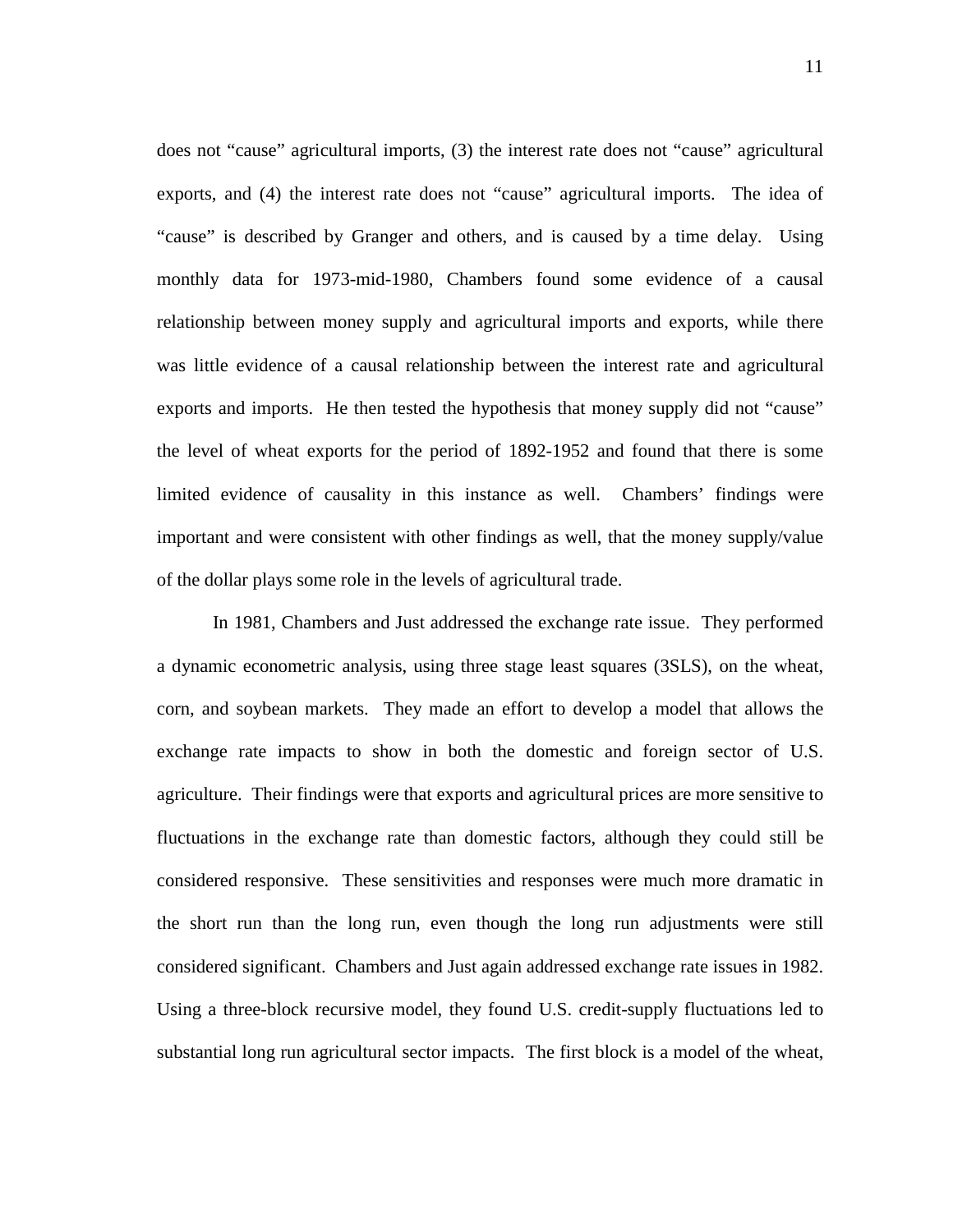does not "cause" agricultural imports, (3) the interest rate does not "cause" agricultural exports, and (4) the interest rate does not "cause" agricultural imports. The idea of "cause" is described by Granger and others, and is caused by a time delay. Using monthly data for 1973-mid-1980, Chambers found some evidence of a causal relationship between money supply and agricultural imports and exports, while there was little evidence of a causal relationship between the interest rate and agricultural exports and imports. He then tested the hypothesis that money supply did not "cause" the level of wheat exports for the period of 1892-1952 and found that there is some limited evidence of causality in this instance as well. Chambers' findings were important and were consistent with other findings as well, that the money supply/value of the dollar plays some role in the levels of agricultural trade.

In 1981, Chambers and Just addressed the exchange rate issue. They performed a dynamic econometric analysis, using three stage least squares (3SLS), on the wheat, corn, and soybean markets. They made an effort to develop a model that allows the exchange rate impacts to show in both the domestic and foreign sector of U.S. agriculture. Their findings were that exports and agricultural prices are more sensitive to fluctuations in the exchange rate than domestic factors, although they could still be considered responsive. These sensitivities and responses were much more dramatic in the short run than the long run, even though the long run adjustments were still considered significant. Chambers and Just again addressed exchange rate issues in 1982. Using a three-block recursive model, they found U.S. credit-supply fluctuations led to substantial long run agricultural sector impacts. The first block is a model of the wheat,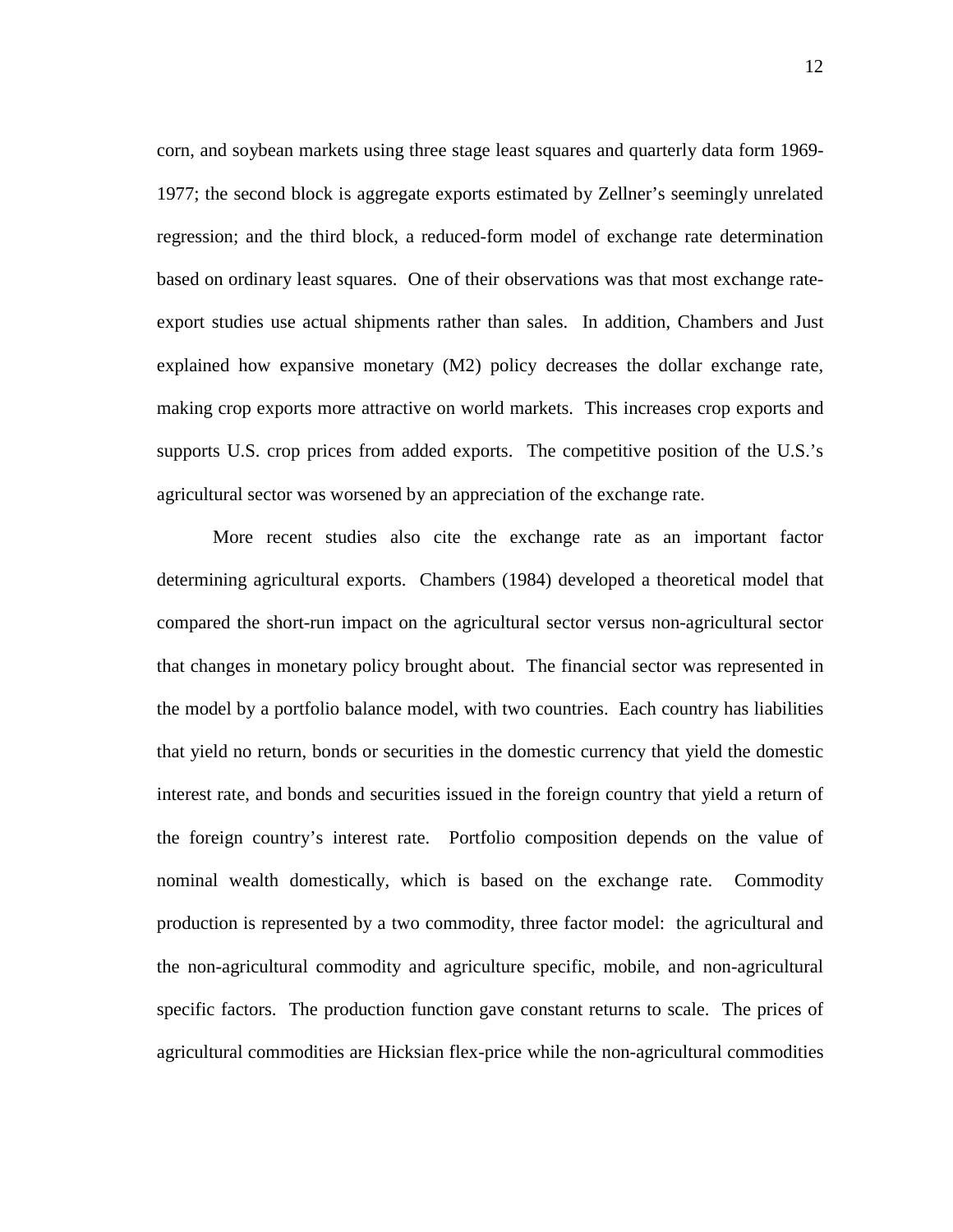corn, and soybean markets using three stage least squares and quarterly data form 1969- 1977; the second block is aggregate exports estimated by Zellner's seemingly unrelated regression; and the third block, a reduced-form model of exchange rate determination based on ordinary least squares. One of their observations was that most exchange rateexport studies use actual shipments rather than sales. In addition, Chambers and Just explained how expansive monetary (M2) policy decreases the dollar exchange rate, making crop exports more attractive on world markets. This increases crop exports and supports U.S. crop prices from added exports. The competitive position of the U.S.'s agricultural sector was worsened by an appreciation of the exchange rate.

More recent studies also cite the exchange rate as an important factor determining agricultural exports. Chambers (1984) developed a theoretical model that compared the short-run impact on the agricultural sector versus non-agricultural sector that changes in monetary policy brought about. The financial sector was represented in the model by a portfolio balance model, with two countries. Each country has liabilities that yield no return, bonds or securities in the domestic currency that yield the domestic interest rate, and bonds and securities issued in the foreign country that yield a return of the foreign country's interest rate. Portfolio composition depends on the value of nominal wealth domestically, which is based on the exchange rate. Commodity production is represented by a two commodity, three factor model: the agricultural and the non-agricultural commodity and agriculture specific, mobile, and non-agricultural specific factors. The production function gave constant returns to scale. The prices of agricultural commodities are Hicksian flex-price while the non-agricultural commodities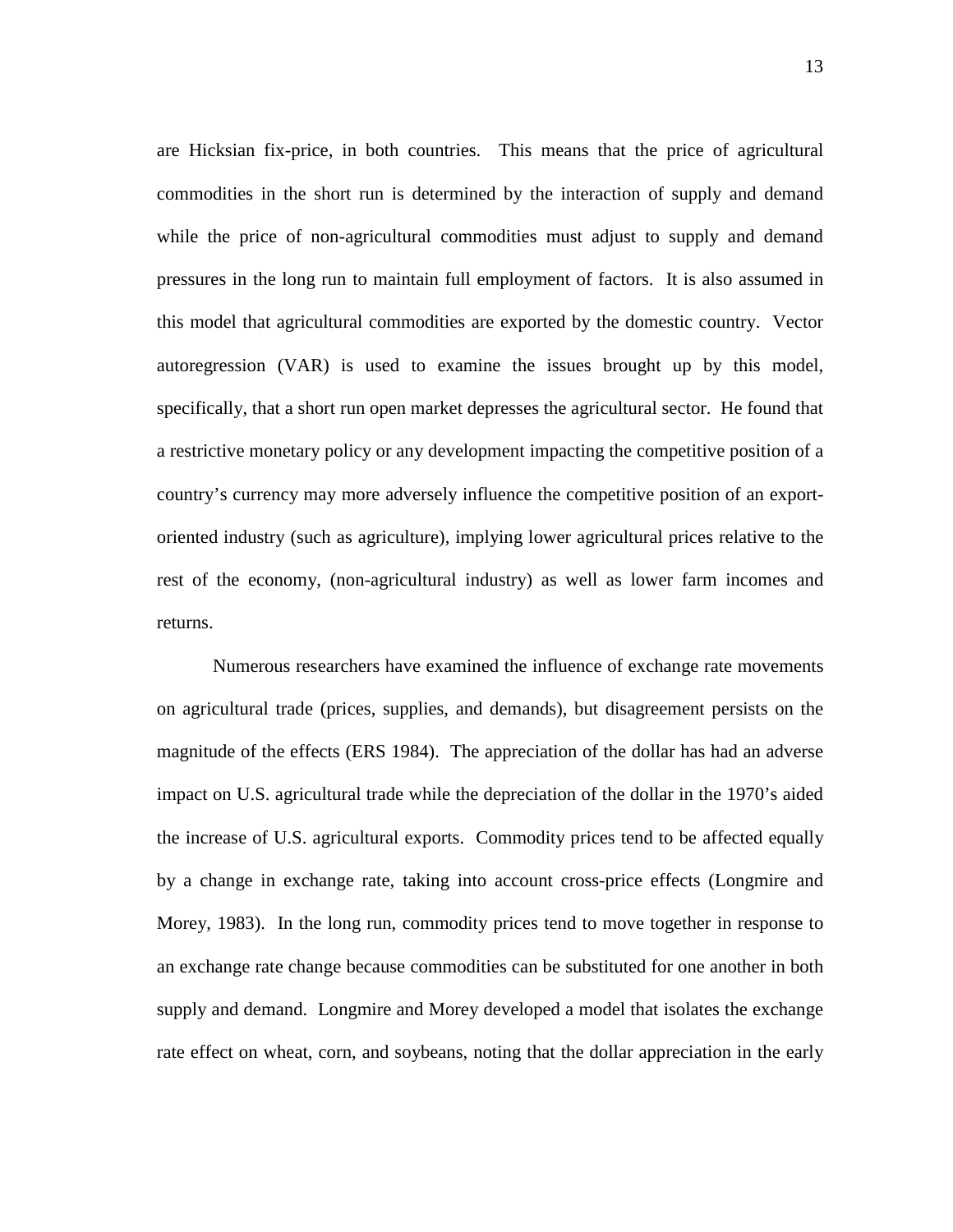are Hicksian fix-price, in both countries. This means that the price of agricultural commodities in the short run is determined by the interaction of supply and demand while the price of non-agricultural commodities must adjust to supply and demand pressures in the long run to maintain full employment of factors. It is also assumed in this model that agricultural commodities are exported by the domestic country. Vector autoregression (VAR) is used to examine the issues brought up by this model, specifically, that a short run open market depresses the agricultural sector. He found that a restrictive monetary policy or any development impacting the competitive position of a country's currency may more adversely influence the competitive position of an exportoriented industry (such as agriculture), implying lower agricultural prices relative to the rest of the economy, (non-agricultural industry) as well as lower farm incomes and returns.

Numerous researchers have examined the influence of exchange rate movements on agricultural trade (prices, supplies, and demands), but disagreement persists on the magnitude of the effects (ERS 1984). The appreciation of the dollar has had an adverse impact on U.S. agricultural trade while the depreciation of the dollar in the 1970's aided the increase of U.S. agricultural exports. Commodity prices tend to be affected equally by a change in exchange rate, taking into account cross-price effects (Longmire and Morey, 1983). In the long run, commodity prices tend to move together in response to an exchange rate change because commodities can be substituted for one another in both supply and demand. Longmire and Morey developed a model that isolates the exchange rate effect on wheat, corn, and soybeans, noting that the dollar appreciation in the early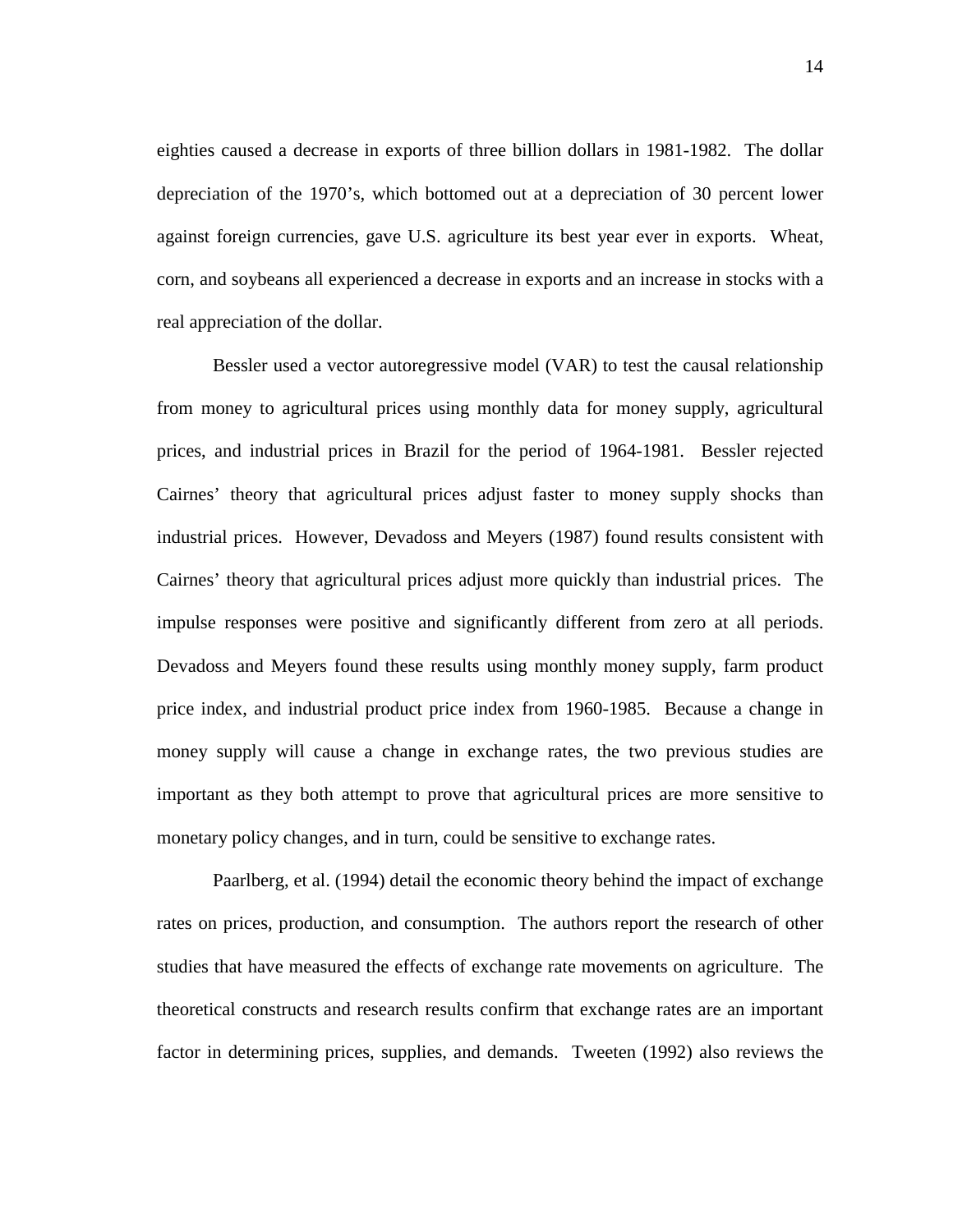eighties caused a decrease in exports of three billion dollars in 1981-1982. The dollar depreciation of the 1970's, which bottomed out at a depreciation of 30 percent lower against foreign currencies, gave U.S. agriculture its best year ever in exports. Wheat, corn, and soybeans all experienced a decrease in exports and an increase in stocks with a real appreciation of the dollar.

Bessler used a vector autoregressive model (VAR) to test the causal relationship from money to agricultural prices using monthly data for money supply, agricultural prices, and industrial prices in Brazil for the period of 1964-1981. Bessler rejected Cairnes' theory that agricultural prices adjust faster to money supply shocks than industrial prices. However, Devadoss and Meyers (1987) found results consistent with Cairnes' theory that agricultural prices adjust more quickly than industrial prices. The impulse responses were positive and significantly different from zero at all periods. Devadoss and Meyers found these results using monthly money supply, farm product price index, and industrial product price index from 1960-1985. Because a change in money supply will cause a change in exchange rates, the two previous studies are important as they both attempt to prove that agricultural prices are more sensitive to monetary policy changes, and in turn, could be sensitive to exchange rates.

Paarlberg, et al. (1994) detail the economic theory behind the impact of exchange rates on prices, production, and consumption. The authors report the research of other studies that have measured the effects of exchange rate movements on agriculture. The theoretical constructs and research results confirm that exchange rates are an important factor in determining prices, supplies, and demands. Tweeten (1992) also reviews the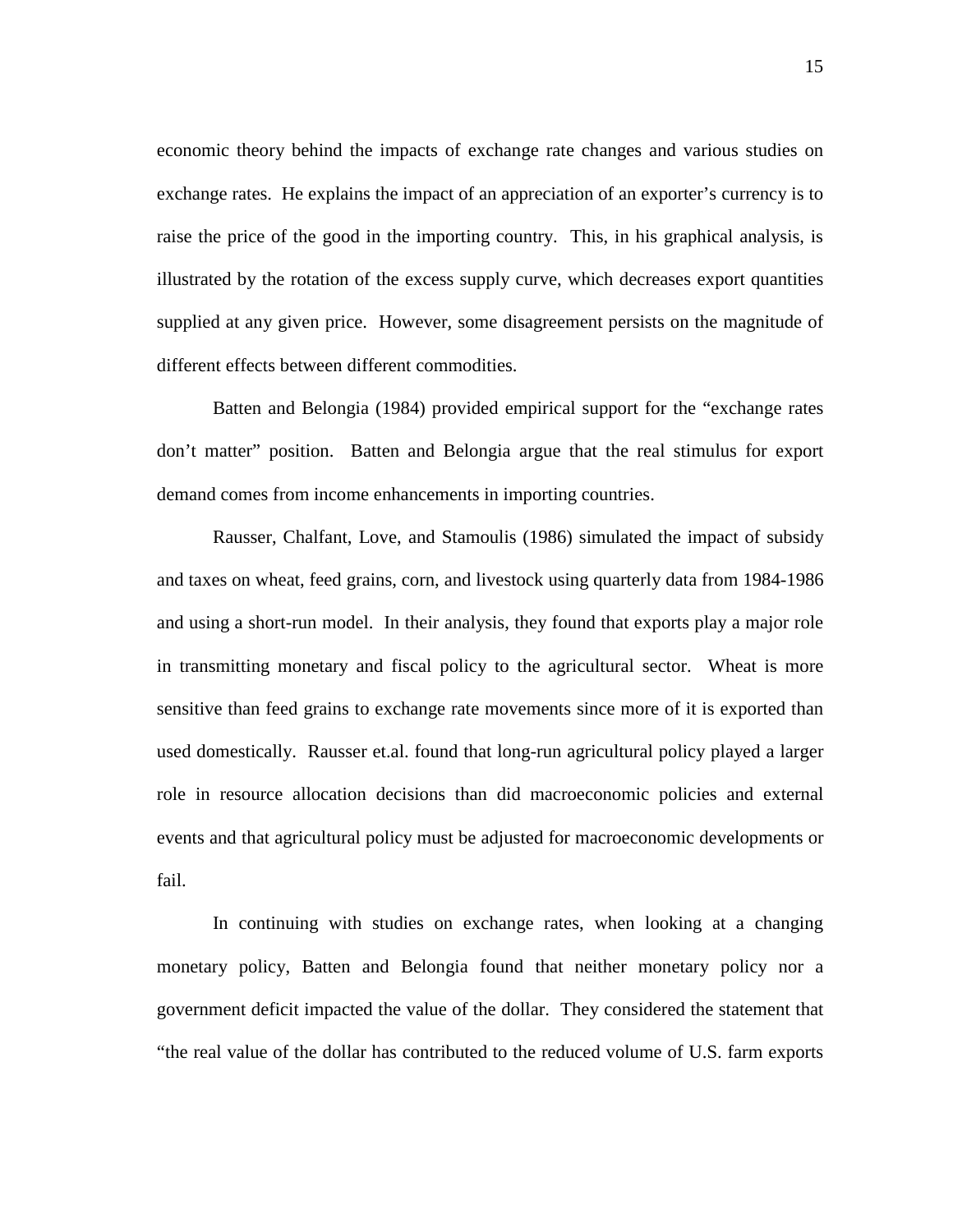economic theory behind the impacts of exchange rate changes and various studies on exchange rates. He explains the impact of an appreciation of an exporter's currency is to raise the price of the good in the importing country. This, in his graphical analysis, is illustrated by the rotation of the excess supply curve, which decreases export quantities supplied at any given price. However, some disagreement persists on the magnitude of different effects between different commodities.

Batten and Belongia (1984) provided empirical support for the "exchange rates don't matter" position. Batten and Belongia argue that the real stimulus for export demand comes from income enhancements in importing countries.

Rausser, Chalfant, Love, and Stamoulis (1986) simulated the impact of subsidy and taxes on wheat, feed grains, corn, and livestock using quarterly data from 1984-1986 and using a short-run model. In their analysis, they found that exports play a major role in transmitting monetary and fiscal policy to the agricultural sector. Wheat is more sensitive than feed grains to exchange rate movements since more of it is exported than used domestically. Rausser et.al. found that long-run agricultural policy played a larger role in resource allocation decisions than did macroeconomic policies and external events and that agricultural policy must be adjusted for macroeconomic developments or fail.

In continuing with studies on exchange rates, when looking at a changing monetary policy, Batten and Belongia found that neither monetary policy nor a government deficit impacted the value of the dollar. They considered the statement that "the real value of the dollar has contributed to the reduced volume of U.S. farm exports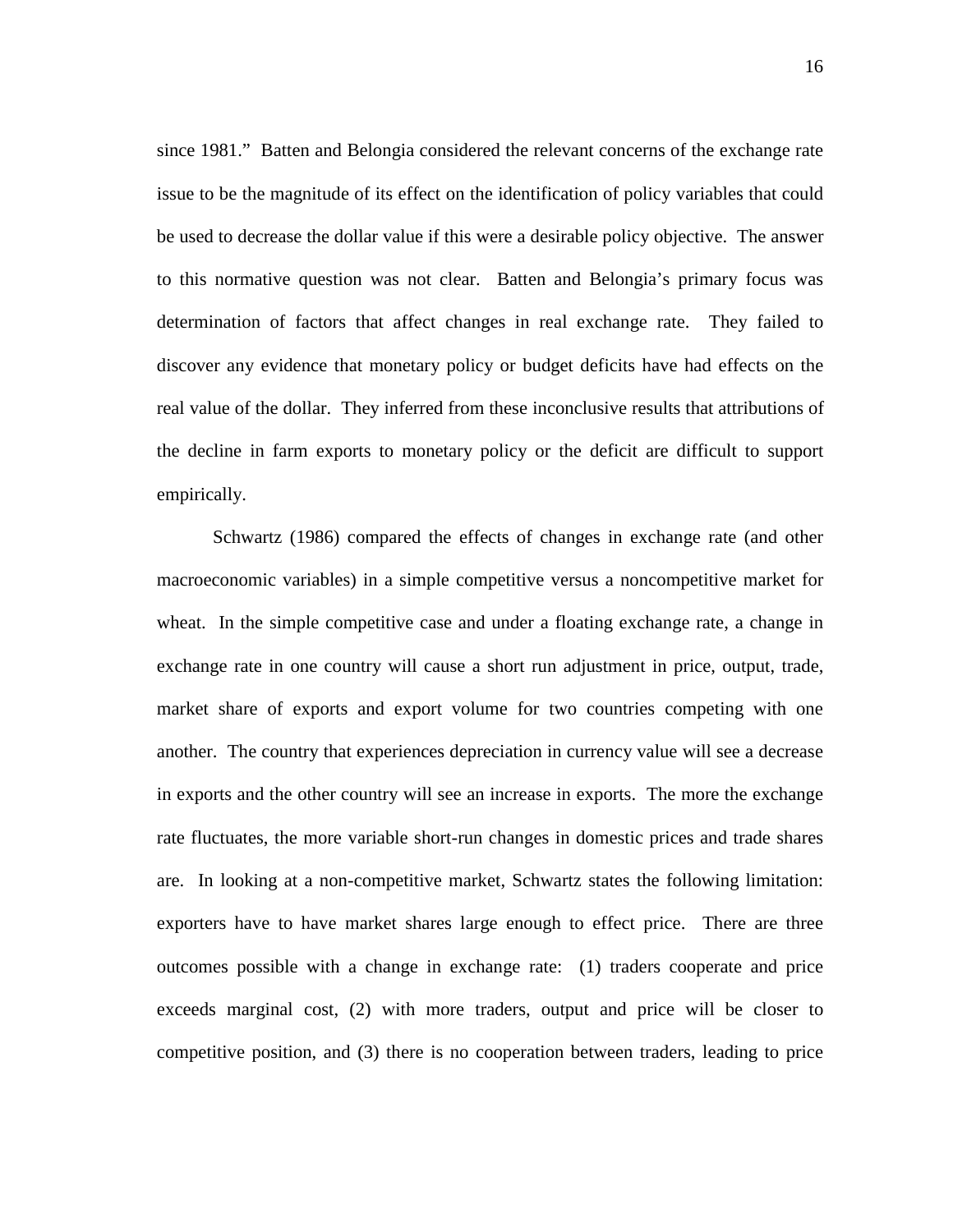since 1981." Batten and Belongia considered the relevant concerns of the exchange rate issue to be the magnitude of its effect on the identification of policy variables that could be used to decrease the dollar value if this were a desirable policy objective. The answer to this normative question was not clear. Batten and Belongia's primary focus was determination of factors that affect changes in real exchange rate. They failed to discover any evidence that monetary policy or budget deficits have had effects on the real value of the dollar. They inferred from these inconclusive results that attributions of the decline in farm exports to monetary policy or the deficit are difficult to support empirically.

Schwartz (1986) compared the effects of changes in exchange rate (and other macroeconomic variables) in a simple competitive versus a noncompetitive market for wheat. In the simple competitive case and under a floating exchange rate, a change in exchange rate in one country will cause a short run adjustment in price, output, trade, market share of exports and export volume for two countries competing with one another. The country that experiences depreciation in currency value will see a decrease in exports and the other country will see an increase in exports. The more the exchange rate fluctuates, the more variable short-run changes in domestic prices and trade shares are. In looking at a non-competitive market, Schwartz states the following limitation: exporters have to have market shares large enough to effect price. There are three outcomes possible with a change in exchange rate: (1) traders cooperate and price exceeds marginal cost, (2) with more traders, output and price will be closer to competitive position, and (3) there is no cooperation between traders, leading to price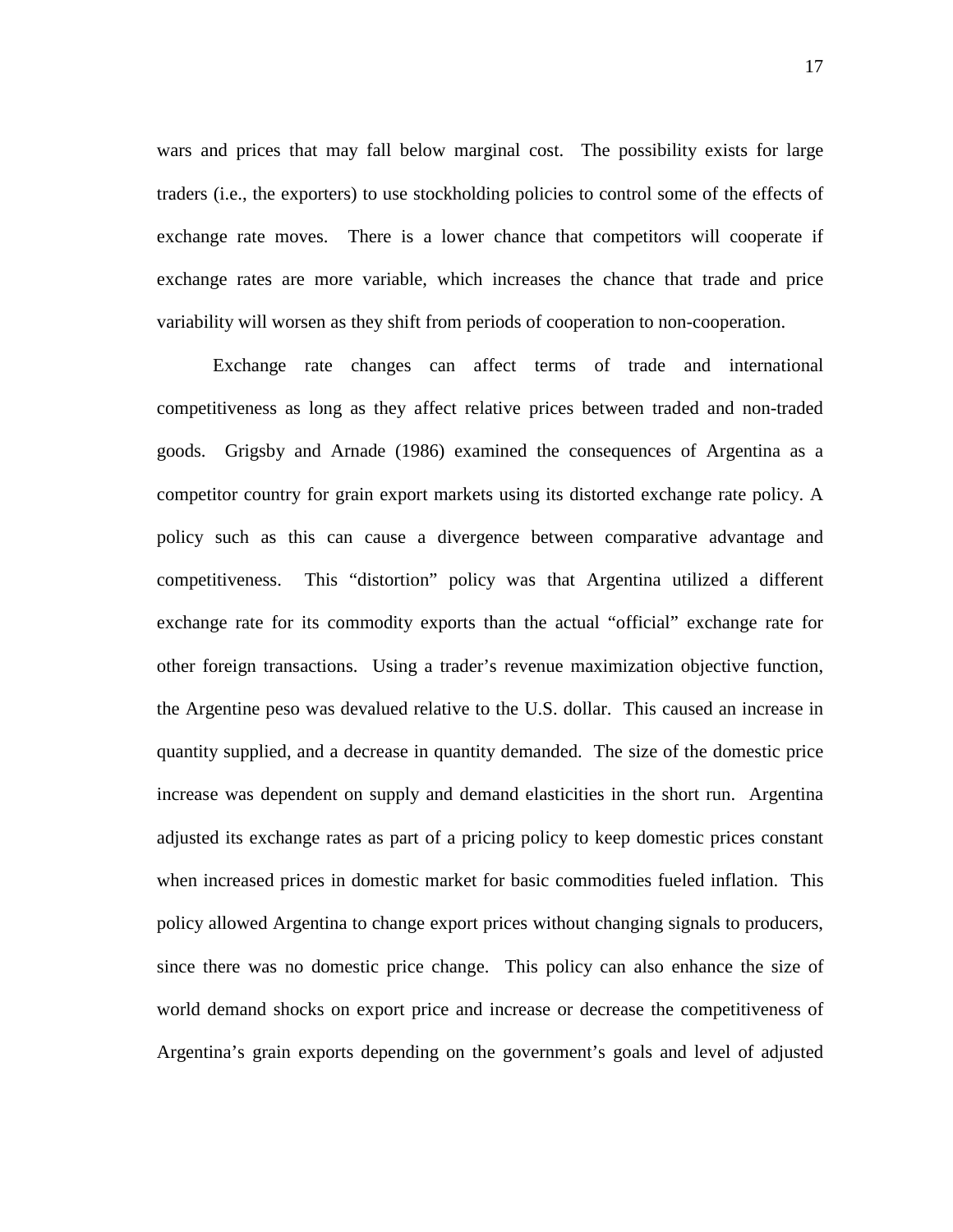wars and prices that may fall below marginal cost. The possibility exists for large traders (i.e., the exporters) to use stockholding policies to control some of the effects of exchange rate moves. There is a lower chance that competitors will cooperate if exchange rates are more variable, which increases the chance that trade and price variability will worsen as they shift from periods of cooperation to non-cooperation.

Exchange rate changes can affect terms of trade and international competitiveness as long as they affect relative prices between traded and non-traded goods. Grigsby and Arnade (1986) examined the consequences of Argentina as a competitor country for grain export markets using its distorted exchange rate policy. A policy such as this can cause a divergence between comparative advantage and competitiveness. This "distortion" policy was that Argentina utilized a different exchange rate for its commodity exports than the actual "official" exchange rate for other foreign transactions. Using a trader's revenue maximization objective function, the Argentine peso was devalued relative to the U.S. dollar. This caused an increase in quantity supplied, and a decrease in quantity demanded. The size of the domestic price increase was dependent on supply and demand elasticities in the short run. Argentina adjusted its exchange rates as part of a pricing policy to keep domestic prices constant when increased prices in domestic market for basic commodities fueled inflation. This policy allowed Argentina to change export prices without changing signals to producers, since there was no domestic price change. This policy can also enhance the size of world demand shocks on export price and increase or decrease the competitiveness of Argentina's grain exports depending on the government's goals and level of adjusted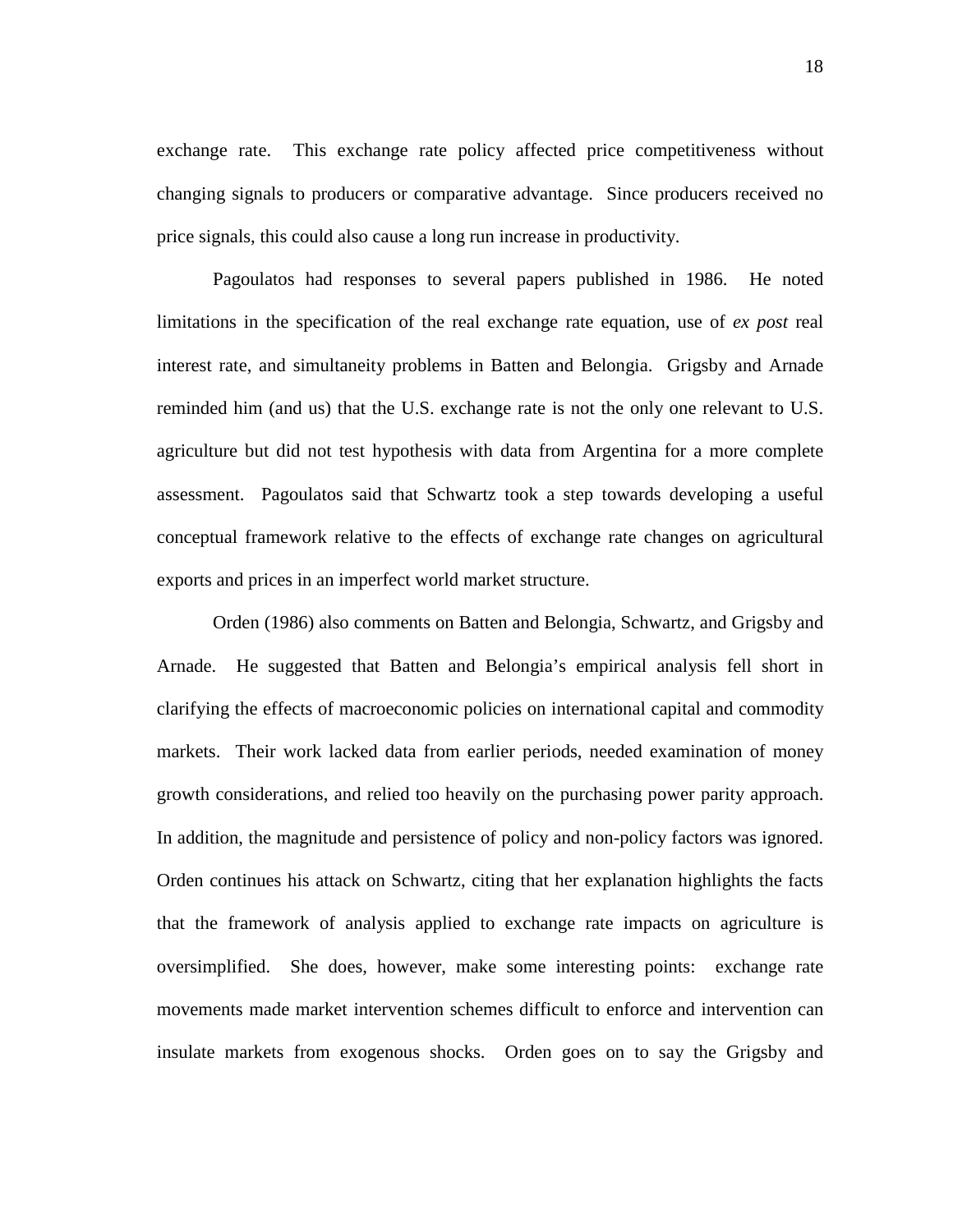exchange rate. This exchange rate policy affected price competitiveness without changing signals to producers or comparative advantage. Since producers received no price signals, this could also cause a long run increase in productivity.

Pagoulatos had responses to several papers published in 1986. He noted limitations in the specification of the real exchange rate equation, use of *ex post* real interest rate, and simultaneity problems in Batten and Belongia. Grigsby and Arnade reminded him (and us) that the U.S. exchange rate is not the only one relevant to U.S. agriculture but did not test hypothesis with data from Argentina for a more complete assessment. Pagoulatos said that Schwartz took a step towards developing a useful conceptual framework relative to the effects of exchange rate changes on agricultural exports and prices in an imperfect world market structure.

Orden (1986) also comments on Batten and Belongia, Schwartz, and Grigsby and Arnade. He suggested that Batten and Belongia's empirical analysis fell short in clarifying the effects of macroeconomic policies on international capital and commodity markets. Their work lacked data from earlier periods, needed examination of money growth considerations, and relied too heavily on the purchasing power parity approach. In addition, the magnitude and persistence of policy and non-policy factors was ignored. Orden continues his attack on Schwartz, citing that her explanation highlights the facts that the framework of analysis applied to exchange rate impacts on agriculture is oversimplified. She does, however, make some interesting points: exchange rate movements made market intervention schemes difficult to enforce and intervention can insulate markets from exogenous shocks. Orden goes on to say the Grigsby and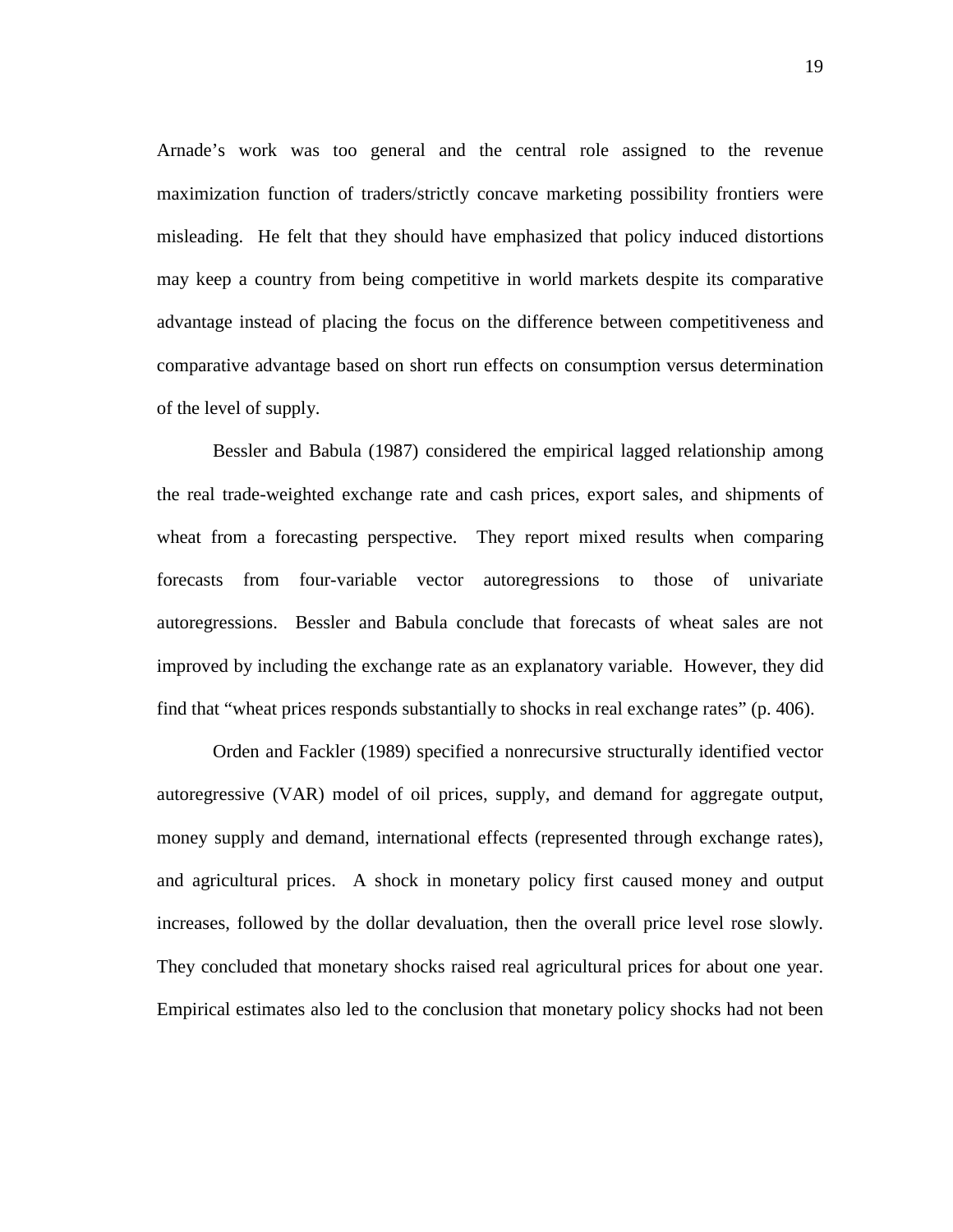Arnade's work was too general and the central role assigned to the revenue maximization function of traders/strictly concave marketing possibility frontiers were misleading. He felt that they should have emphasized that policy induced distortions may keep a country from being competitive in world markets despite its comparative advantage instead of placing the focus on the difference between competitiveness and comparative advantage based on short run effects on consumption versus determination of the level of supply.

Bessler and Babula (1987) considered the empirical lagged relationship among the real trade-weighted exchange rate and cash prices, export sales, and shipments of wheat from a forecasting perspective. They report mixed results when comparing forecasts from four-variable vector autoregressions to those of univariate autoregressions. Bessler and Babula conclude that forecasts of wheat sales are not improved by including the exchange rate as an explanatory variable. However, they did find that "wheat prices responds substantially to shocks in real exchange rates" (p. 406).

Orden and Fackler (1989) specified a nonrecursive structurally identified vector autoregressive (VAR) model of oil prices, supply, and demand for aggregate output, money supply and demand, international effects (represented through exchange rates), and agricultural prices. A shock in monetary policy first caused money and output increases, followed by the dollar devaluation, then the overall price level rose slowly. They concluded that monetary shocks raised real agricultural prices for about one year. Empirical estimates also led to the conclusion that monetary policy shocks had not been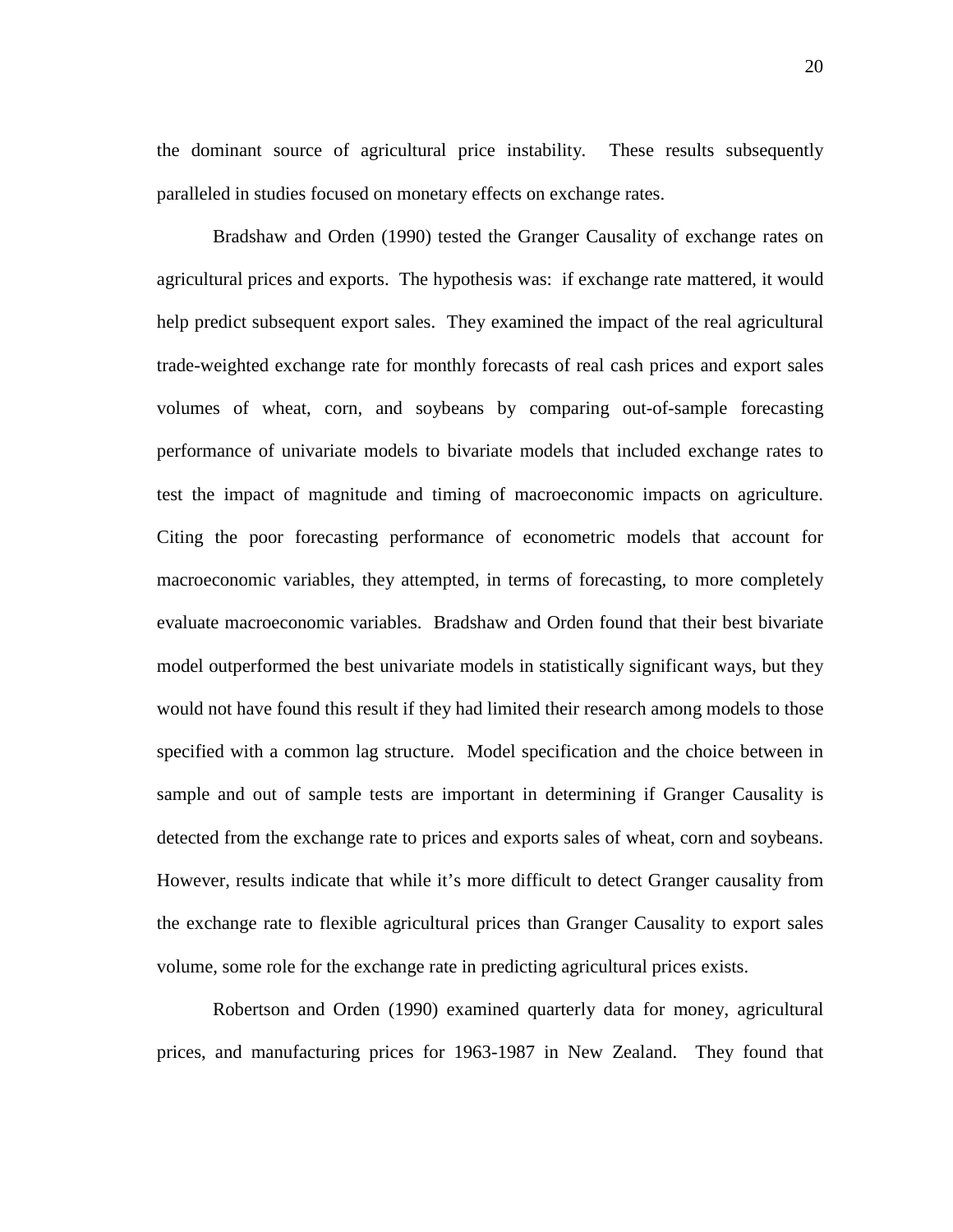the dominant source of agricultural price instability. These results subsequently paralleled in studies focused on monetary effects on exchange rates.

Bradshaw and Orden (1990) tested the Granger Causality of exchange rates on agricultural prices and exports. The hypothesis was: if exchange rate mattered, it would help predict subsequent export sales. They examined the impact of the real agricultural trade-weighted exchange rate for monthly forecasts of real cash prices and export sales volumes of wheat, corn, and soybeans by comparing out-of-sample forecasting performance of univariate models to bivariate models that included exchange rates to test the impact of magnitude and timing of macroeconomic impacts on agriculture. Citing the poor forecasting performance of econometric models that account for macroeconomic variables, they attempted, in terms of forecasting, to more completely evaluate macroeconomic variables. Bradshaw and Orden found that their best bivariate model outperformed the best univariate models in statistically significant ways, but they would not have found this result if they had limited their research among models to those specified with a common lag structure. Model specification and the choice between in sample and out of sample tests are important in determining if Granger Causality is detected from the exchange rate to prices and exports sales of wheat, corn and soybeans. However, results indicate that while it's more difficult to detect Granger causality from the exchange rate to flexible agricultural prices than Granger Causality to export sales volume, some role for the exchange rate in predicting agricultural prices exists.

Robertson and Orden (1990) examined quarterly data for money, agricultural prices, and manufacturing prices for 1963-1987 in New Zealand. They found that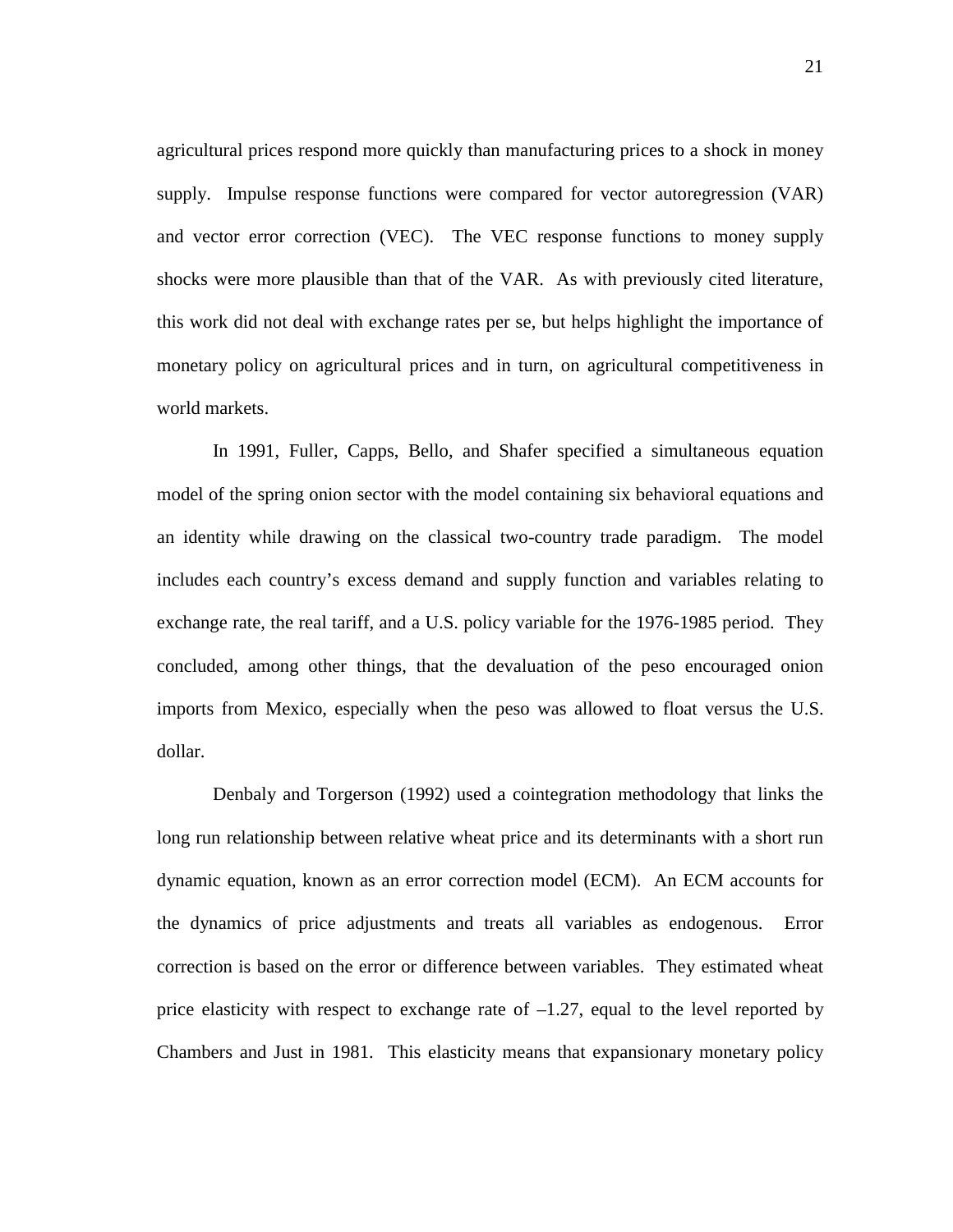agricultural prices respond more quickly than manufacturing prices to a shock in money supply. Impulse response functions were compared for vector autoregression (VAR) and vector error correction (VEC). The VEC response functions to money supply shocks were more plausible than that of the VAR. As with previously cited literature, this work did not deal with exchange rates per se, but helps highlight the importance of monetary policy on agricultural prices and in turn, on agricultural competitiveness in world markets.

In 1991, Fuller, Capps, Bello, and Shafer specified a simultaneous equation model of the spring onion sector with the model containing six behavioral equations and an identity while drawing on the classical two-country trade paradigm. The model includes each country's excess demand and supply function and variables relating to exchange rate, the real tariff, and a U.S. policy variable for the 1976-1985 period. They concluded, among other things, that the devaluation of the peso encouraged onion imports from Mexico, especially when the peso was allowed to float versus the U.S. dollar.

Denbaly and Torgerson (1992) used a cointegration methodology that links the long run relationship between relative wheat price and its determinants with a short run dynamic equation, known as an error correction model (ECM). An ECM accounts for the dynamics of price adjustments and treats all variables as endogenous. Error correction is based on the error or difference between variables. They estimated wheat price elasticity with respect to exchange rate of  $-1.27$ , equal to the level reported by Chambers and Just in 1981. This elasticity means that expansionary monetary policy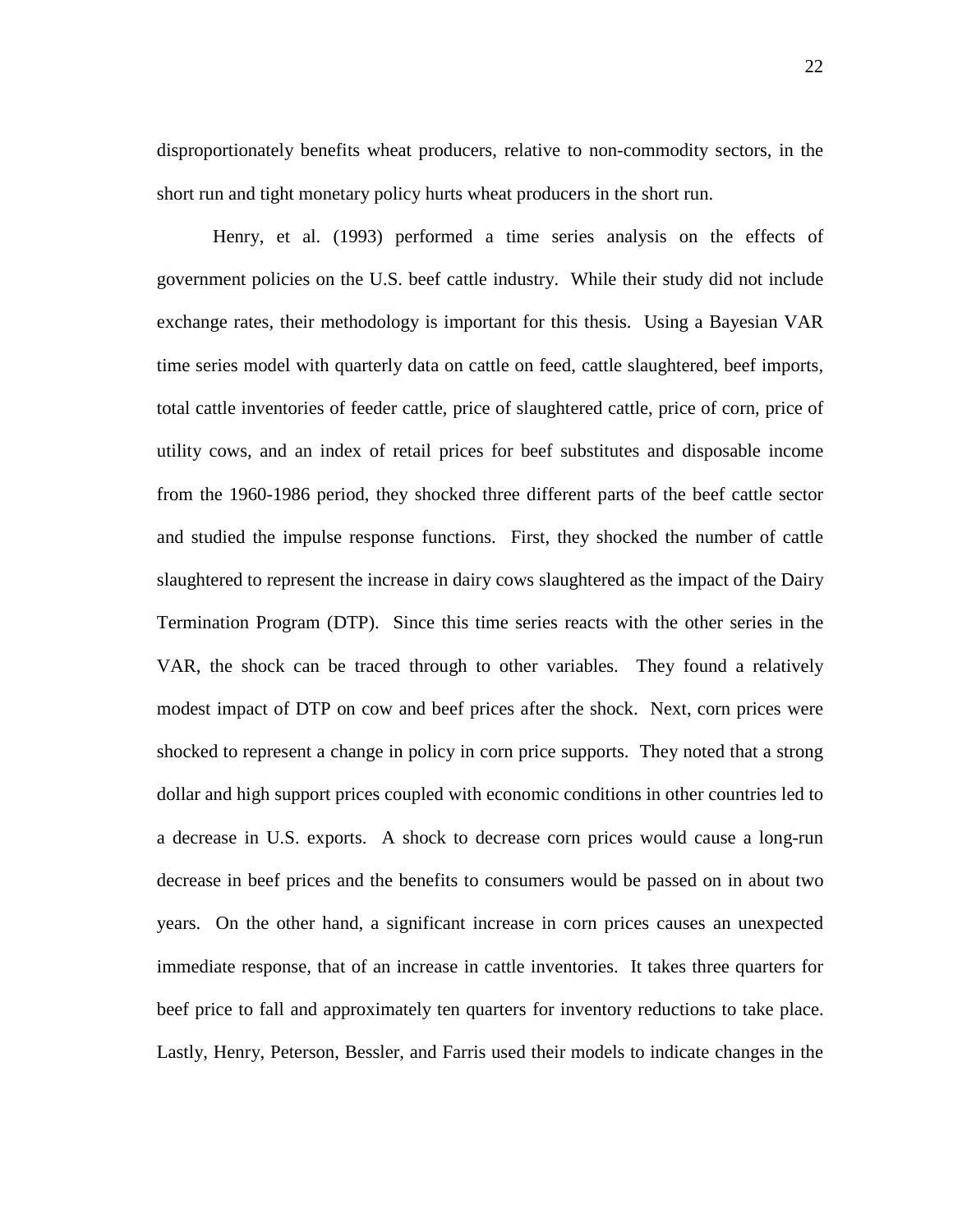disproportionately benefits wheat producers, relative to non-commodity sectors, in the short run and tight monetary policy hurts wheat producers in the short run.

Henry, et al. (1993) performed a time series analysis on the effects of government policies on the U.S. beef cattle industry. While their study did not include exchange rates, their methodology is important for this thesis. Using a Bayesian VAR time series model with quarterly data on cattle on feed, cattle slaughtered, beef imports, total cattle inventories of feeder cattle, price of slaughtered cattle, price of corn, price of utility cows, and an index of retail prices for beef substitutes and disposable income from the 1960-1986 period, they shocked three different parts of the beef cattle sector and studied the impulse response functions. First, they shocked the number of cattle slaughtered to represent the increase in dairy cows slaughtered as the impact of the Dairy Termination Program (DTP). Since this time series reacts with the other series in the VAR, the shock can be traced through to other variables. They found a relatively modest impact of DTP on cow and beef prices after the shock. Next, corn prices were shocked to represent a change in policy in corn price supports. They noted that a strong dollar and high support prices coupled with economic conditions in other countries led to a decrease in U.S. exports. A shock to decrease corn prices would cause a long-run decrease in beef prices and the benefits to consumers would be passed on in about two years. On the other hand, a significant increase in corn prices causes an unexpected immediate response, that of an increase in cattle inventories. It takes three quarters for beef price to fall and approximately ten quarters for inventory reductions to take place. Lastly, Henry, Peterson, Bessler, and Farris used their models to indicate changes in the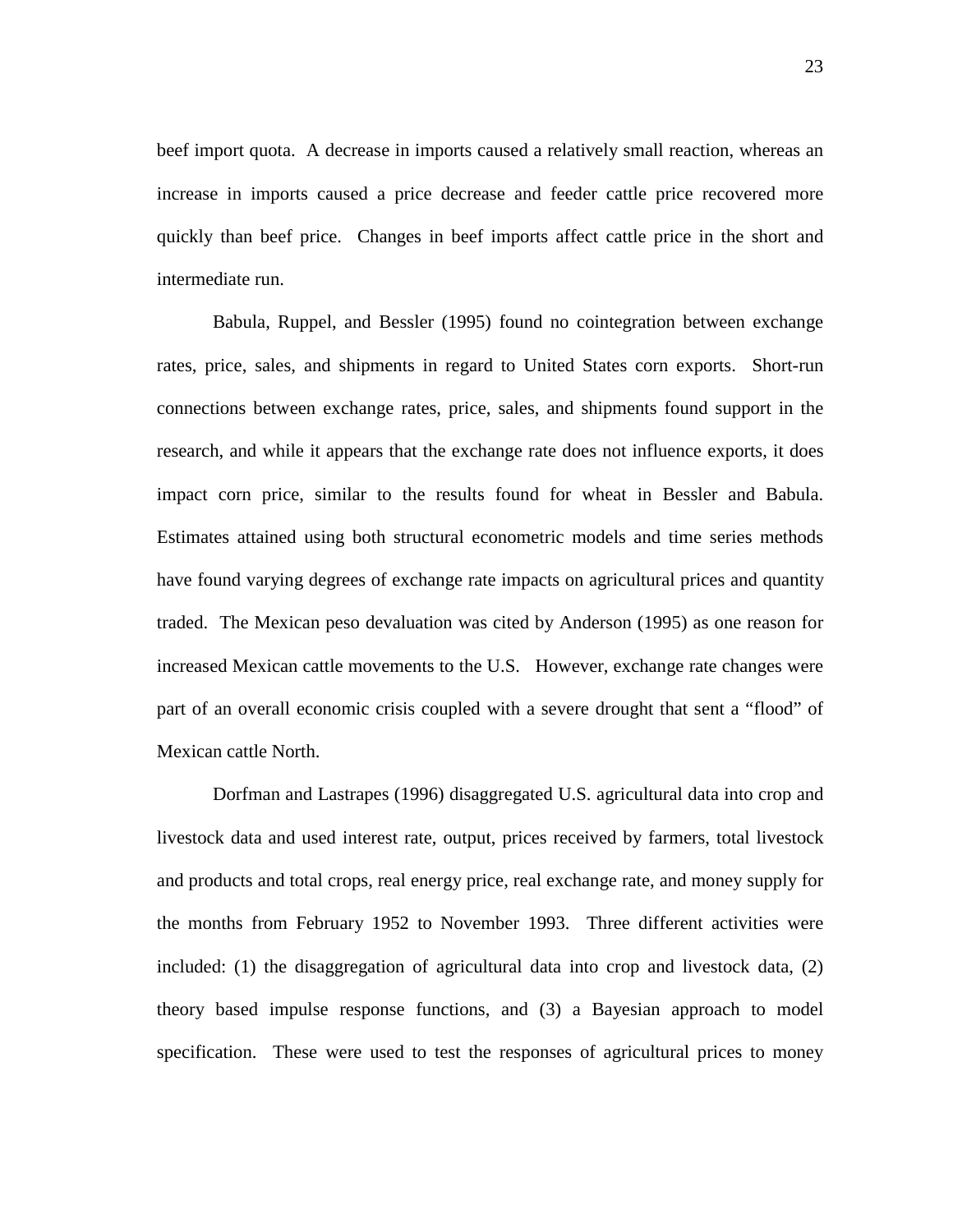beef import quota. A decrease in imports caused a relatively small reaction, whereas an increase in imports caused a price decrease and feeder cattle price recovered more quickly than beef price. Changes in beef imports affect cattle price in the short and intermediate run.

Babula, Ruppel, and Bessler (1995) found no cointegration between exchange rates, price, sales, and shipments in regard to United States corn exports. Short-run connections between exchange rates, price, sales, and shipments found support in the research, and while it appears that the exchange rate does not influence exports, it does impact corn price, similar to the results found for wheat in Bessler and Babula. Estimates attained using both structural econometric models and time series methods have found varying degrees of exchange rate impacts on agricultural prices and quantity traded. The Mexican peso devaluation was cited by Anderson (1995) as one reason for increased Mexican cattle movements to the U.S. However, exchange rate changes were part of an overall economic crisis coupled with a severe drought that sent a "flood" of Mexican cattle North.

Dorfman and Lastrapes (1996) disaggregated U.S. agricultural data into crop and livestock data and used interest rate, output, prices received by farmers, total livestock and products and total crops, real energy price, real exchange rate, and money supply for the months from February 1952 to November 1993. Three different activities were included: (1) the disaggregation of agricultural data into crop and livestock data, (2) theory based impulse response functions, and (3) a Bayesian approach to model specification. These were used to test the responses of agricultural prices to money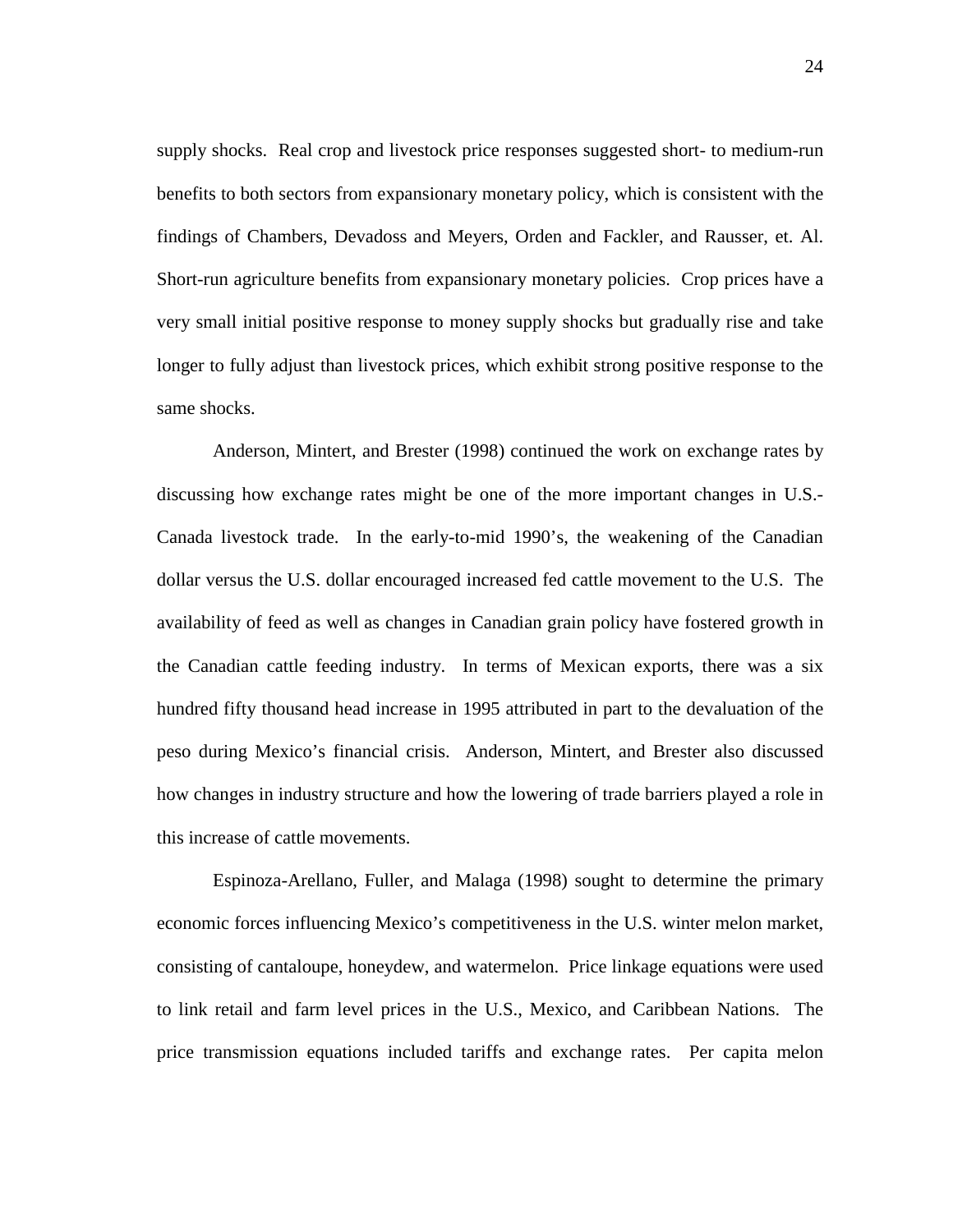supply shocks. Real crop and livestock price responses suggested short- to medium-run benefits to both sectors from expansionary monetary policy, which is consistent with the findings of Chambers, Devadoss and Meyers, Orden and Fackler, and Rausser, et. Al. Short-run agriculture benefits from expansionary monetary policies. Crop prices have a very small initial positive response to money supply shocks but gradually rise and take longer to fully adjust than livestock prices, which exhibit strong positive response to the same shocks.

Anderson, Mintert, and Brester (1998) continued the work on exchange rates by discussing how exchange rates might be one of the more important changes in U.S.- Canada livestock trade. In the early-to-mid 1990's, the weakening of the Canadian dollar versus the U.S. dollar encouraged increased fed cattle movement to the U.S. The availability of feed as well as changes in Canadian grain policy have fostered growth in the Canadian cattle feeding industry. In terms of Mexican exports, there was a six hundred fifty thousand head increase in 1995 attributed in part to the devaluation of the peso during Mexico's financial crisis. Anderson, Mintert, and Brester also discussed how changes in industry structure and how the lowering of trade barriers played a role in this increase of cattle movements.

Espinoza-Arellano, Fuller, and Malaga (1998) sought to determine the primary economic forces influencing Mexico's competitiveness in the U.S. winter melon market, consisting of cantaloupe, honeydew, and watermelon. Price linkage equations were used to link retail and farm level prices in the U.S., Mexico, and Caribbean Nations. The price transmission equations included tariffs and exchange rates. Per capita melon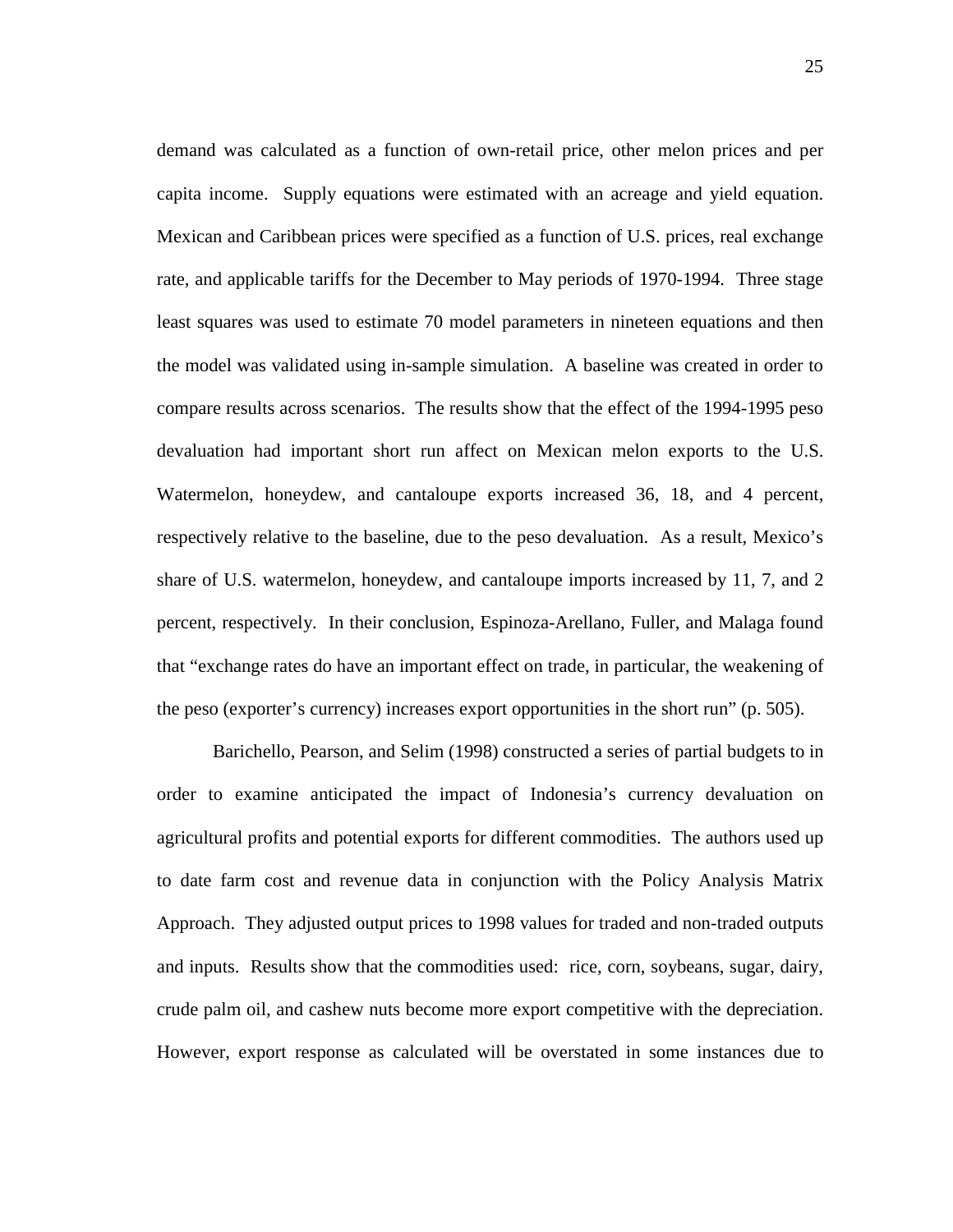demand was calculated as a function of own-retail price, other melon prices and per capita income. Supply equations were estimated with an acreage and yield equation. Mexican and Caribbean prices were specified as a function of U.S. prices, real exchange rate, and applicable tariffs for the December to May periods of 1970-1994. Three stage least squares was used to estimate 70 model parameters in nineteen equations and then the model was validated using in-sample simulation. A baseline was created in order to compare results across scenarios. The results show that the effect of the 1994-1995 peso devaluation had important short run affect on Mexican melon exports to the U.S. Watermelon, honeydew, and cantaloupe exports increased 36, 18, and 4 percent, respectively relative to the baseline, due to the peso devaluation. As a result, Mexico's share of U.S. watermelon, honeydew, and cantaloupe imports increased by 11, 7, and 2 percent, respectively. In their conclusion, Espinoza-Arellano, Fuller, and Malaga found that "exchange rates do have an important effect on trade, in particular, the weakening of the peso (exporter's currency) increases export opportunities in the short run" (p. 505).

Barichello, Pearson, and Selim (1998) constructed a series of partial budgets to in order to examine anticipated the impact of Indonesia's currency devaluation on agricultural profits and potential exports for different commodities. The authors used up to date farm cost and revenue data in conjunction with the Policy Analysis Matrix Approach. They adjusted output prices to 1998 values for traded and non-traded outputs and inputs. Results show that the commodities used: rice, corn, soybeans, sugar, dairy, crude palm oil, and cashew nuts become more export competitive with the depreciation. However, export response as calculated will be overstated in some instances due to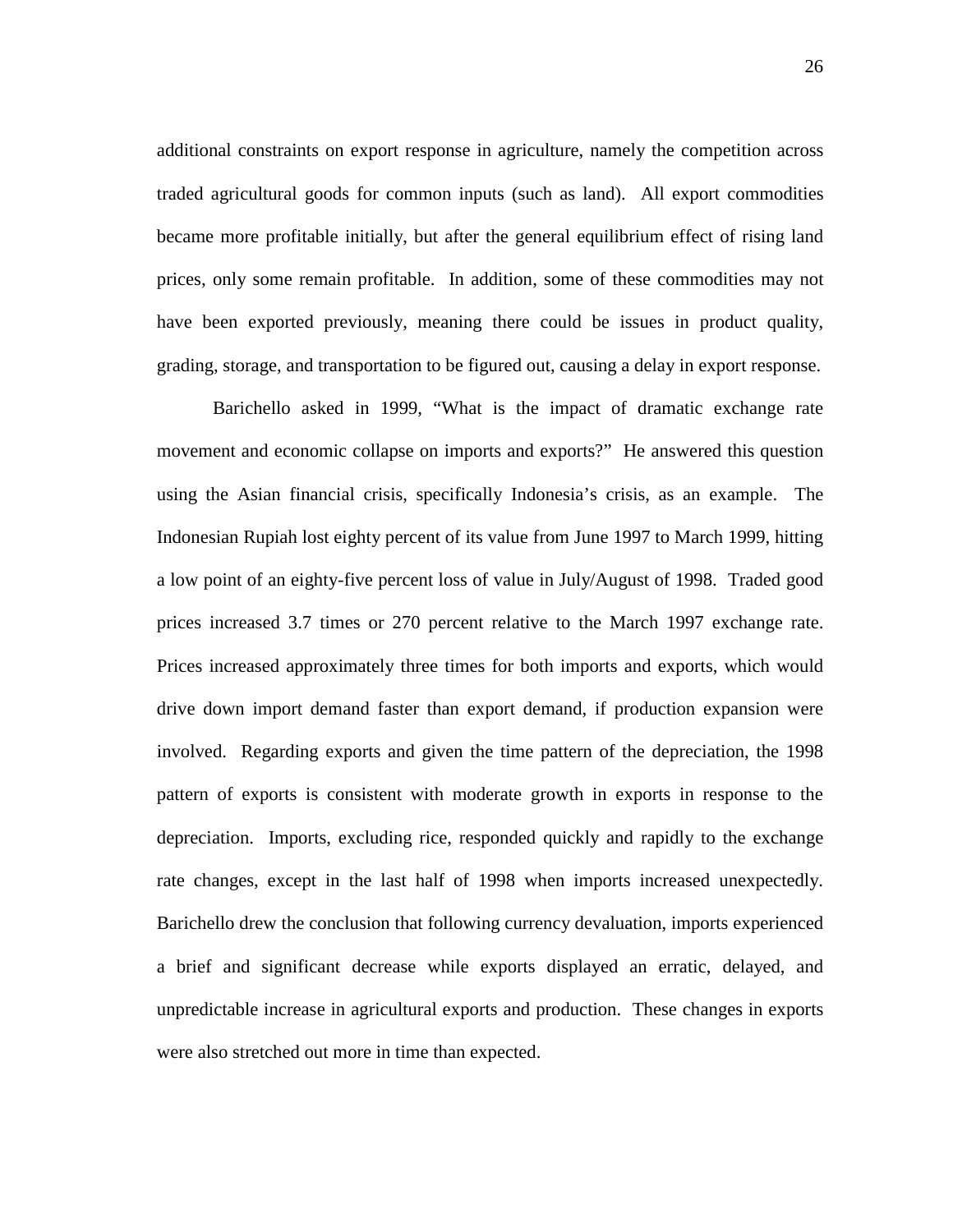additional constraints on export response in agriculture, namely the competition across traded agricultural goods for common inputs (such as land). All export commodities became more profitable initially, but after the general equilibrium effect of rising land prices, only some remain profitable. In addition, some of these commodities may not have been exported previously, meaning there could be issues in product quality, grading, storage, and transportation to be figured out, causing a delay in export response.

Barichello asked in 1999, "What is the impact of dramatic exchange rate movement and economic collapse on imports and exports?" He answered this question using the Asian financial crisis, specifically Indonesia's crisis, as an example. The Indonesian Rupiah lost eighty percent of its value from June 1997 to March 1999, hitting a low point of an eighty-five percent loss of value in July/August of 1998. Traded good prices increased 3.7 times or 270 percent relative to the March 1997 exchange rate. Prices increased approximately three times for both imports and exports, which would drive down import demand faster than export demand, if production expansion were involved. Regarding exports and given the time pattern of the depreciation, the 1998 pattern of exports is consistent with moderate growth in exports in response to the depreciation. Imports, excluding rice, responded quickly and rapidly to the exchange rate changes, except in the last half of 1998 when imports increased unexpectedly. Barichello drew the conclusion that following currency devaluation, imports experienced a brief and significant decrease while exports displayed an erratic, delayed, and unpredictable increase in agricultural exports and production. These changes in exports were also stretched out more in time than expected.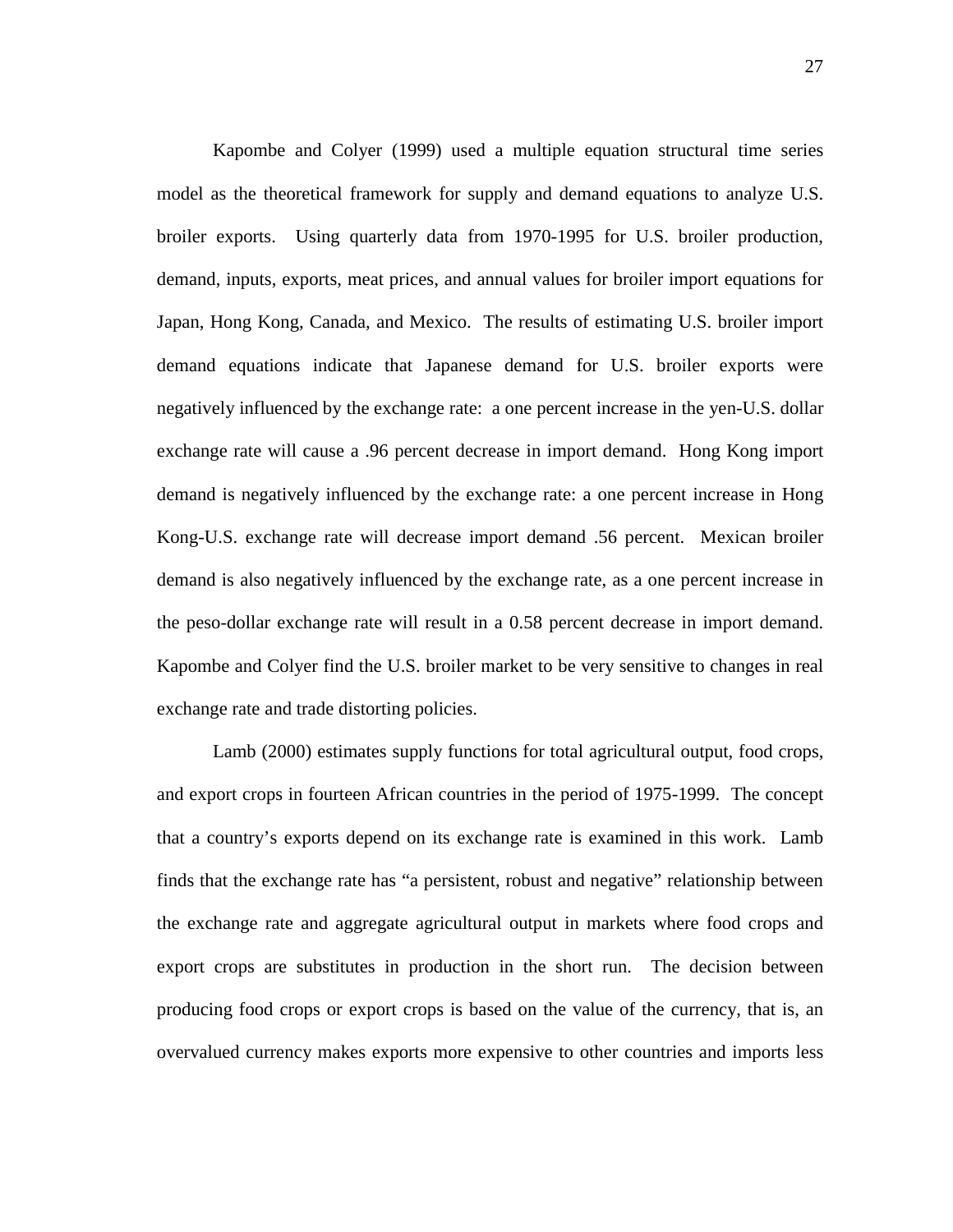Kapombe and Colyer (1999) used a multiple equation structural time series model as the theoretical framework for supply and demand equations to analyze U.S. broiler exports. Using quarterly data from 1970-1995 for U.S. broiler production, demand, inputs, exports, meat prices, and annual values for broiler import equations for Japan, Hong Kong, Canada, and Mexico. The results of estimating U.S. broiler import demand equations indicate that Japanese demand for U.S. broiler exports were negatively influenced by the exchange rate: a one percent increase in the yen-U.S. dollar exchange rate will cause a .96 percent decrease in import demand. Hong Kong import demand is negatively influenced by the exchange rate: a one percent increase in Hong Kong-U.S. exchange rate will decrease import demand .56 percent. Mexican broiler demand is also negatively influenced by the exchange rate, as a one percent increase in the peso-dollar exchange rate will result in a 0.58 percent decrease in import demand. Kapombe and Colyer find the U.S. broiler market to be very sensitive to changes in real exchange rate and trade distorting policies.

Lamb (2000) estimates supply functions for total agricultural output, food crops, and export crops in fourteen African countries in the period of 1975-1999. The concept that a country's exports depend on its exchange rate is examined in this work. Lamb finds that the exchange rate has "a persistent, robust and negative" relationship between the exchange rate and aggregate agricultural output in markets where food crops and export crops are substitutes in production in the short run. The decision between producing food crops or export crops is based on the value of the currency, that is, an overvalued currency makes exports more expensive to other countries and imports less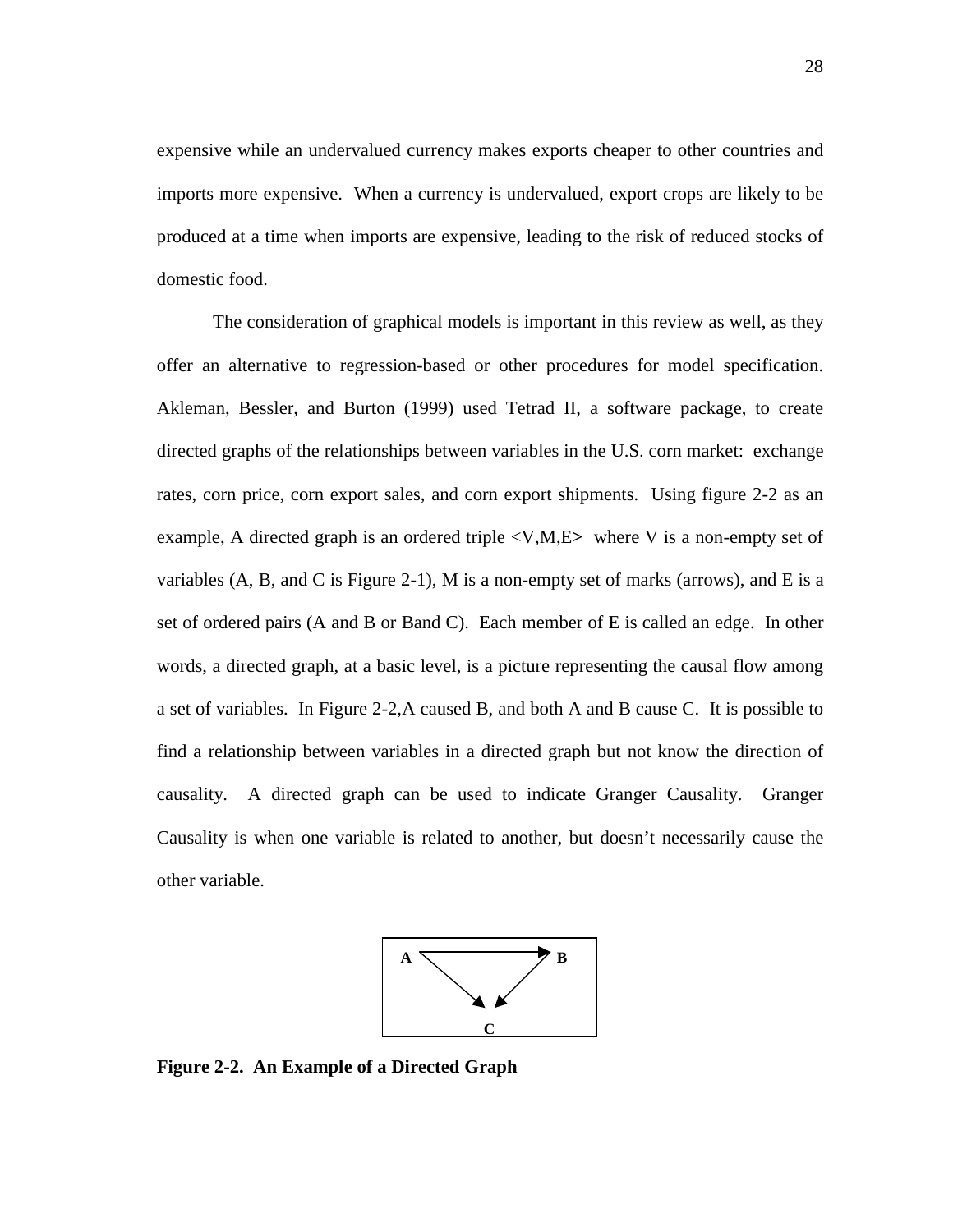expensive while an undervalued currency makes exports cheaper to other countries and imports more expensive. When a currency is undervalued, export crops are likely to be produced at a time when imports are expensive, leading to the risk of reduced stocks of domestic food.

The consideration of graphical models is important in this review as well, as they offer an alternative to regression-based or other procedures for model specification. Akleman, Bessler, and Burton (1999) used Tetrad II, a software package, to create directed graphs of the relationships between variables in the U.S. corn market: exchange rates, corn price, corn export sales, and corn export shipments. Using figure 2-2 as an example, A directed graph is an ordered triple <V,M,E**>** where V is a non-empty set of variables  $(A, B, and C$  is Figure 2-1), M is a non-empty set of marks (arrows), and E is a set of ordered pairs (A and B or Band C). Each member of E is called an edge. In other words, a directed graph, at a basic level, is a picture representing the causal flow among a set of variables. In Figure 2-2,A caused B, and both A and B cause C. It is possible to find a relationship between variables in a directed graph but not know the direction of causality. A directed graph can be used to indicate Granger Causality. Granger Causality is when one variable is related to another, but doesn't necessarily cause the other variable.



**Figure 2-2. An Example of a Directed Graph**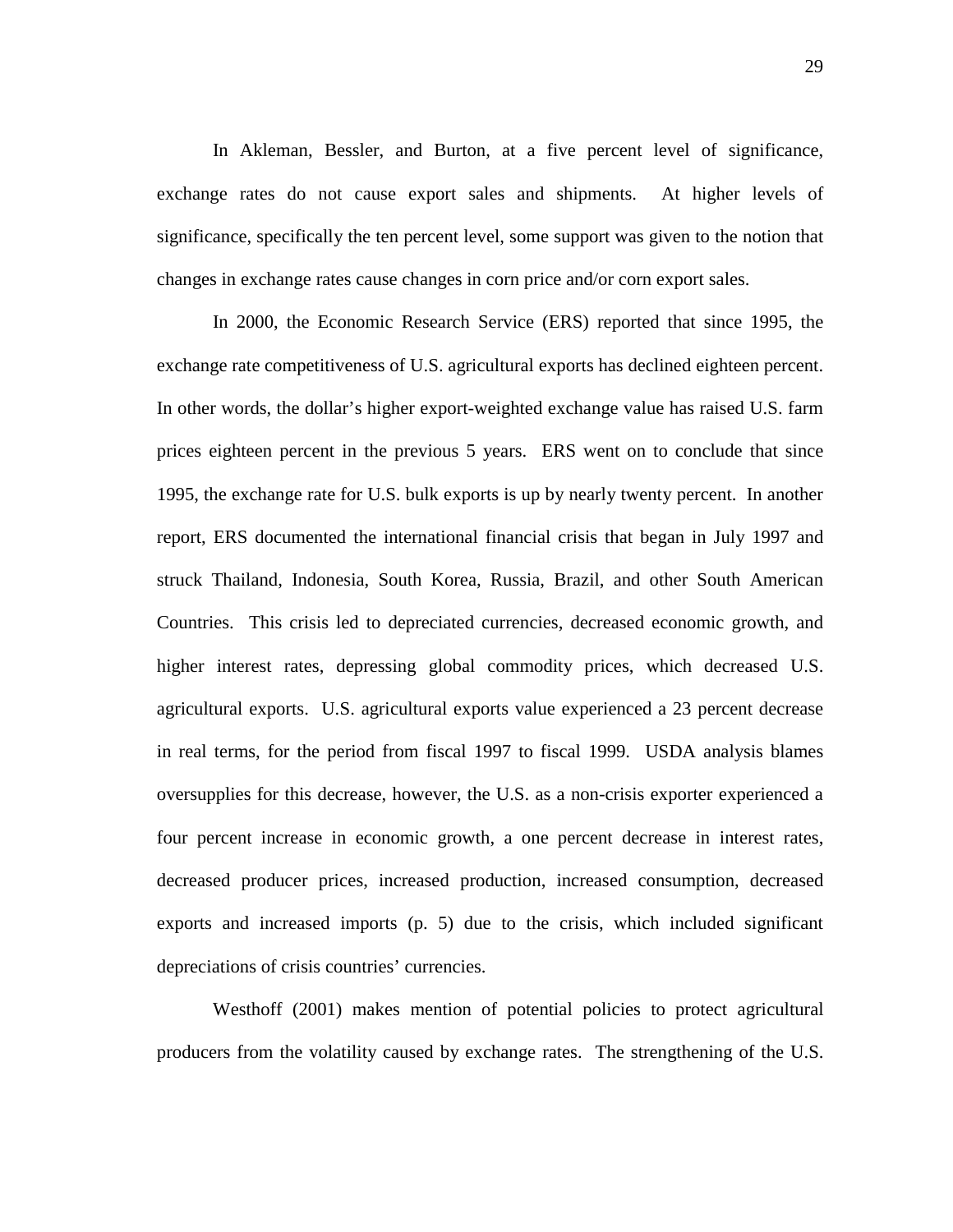In Akleman, Bessler, and Burton, at a five percent level of significance, exchange rates do not cause export sales and shipments. At higher levels of significance, specifically the ten percent level, some support was given to the notion that changes in exchange rates cause changes in corn price and/or corn export sales.

In 2000, the Economic Research Service (ERS) reported that since 1995, the exchange rate competitiveness of U.S. agricultural exports has declined eighteen percent. In other words, the dollar's higher export-weighted exchange value has raised U.S. farm prices eighteen percent in the previous 5 years. ERS went on to conclude that since 1995, the exchange rate for U.S. bulk exports is up by nearly twenty percent. In another report, ERS documented the international financial crisis that began in July 1997 and struck Thailand, Indonesia, South Korea, Russia, Brazil, and other South American Countries. This crisis led to depreciated currencies, decreased economic growth, and higher interest rates, depressing global commodity prices, which decreased U.S. agricultural exports. U.S. agricultural exports value experienced a 23 percent decrease in real terms, for the period from fiscal 1997 to fiscal 1999. USDA analysis blames oversupplies for this decrease, however, the U.S. as a non-crisis exporter experienced a four percent increase in economic growth, a one percent decrease in interest rates, decreased producer prices, increased production, increased consumption, decreased exports and increased imports (p. 5) due to the crisis, which included significant depreciations of crisis countries' currencies.

Westhoff (2001) makes mention of potential policies to protect agricultural producers from the volatility caused by exchange rates. The strengthening of the U.S.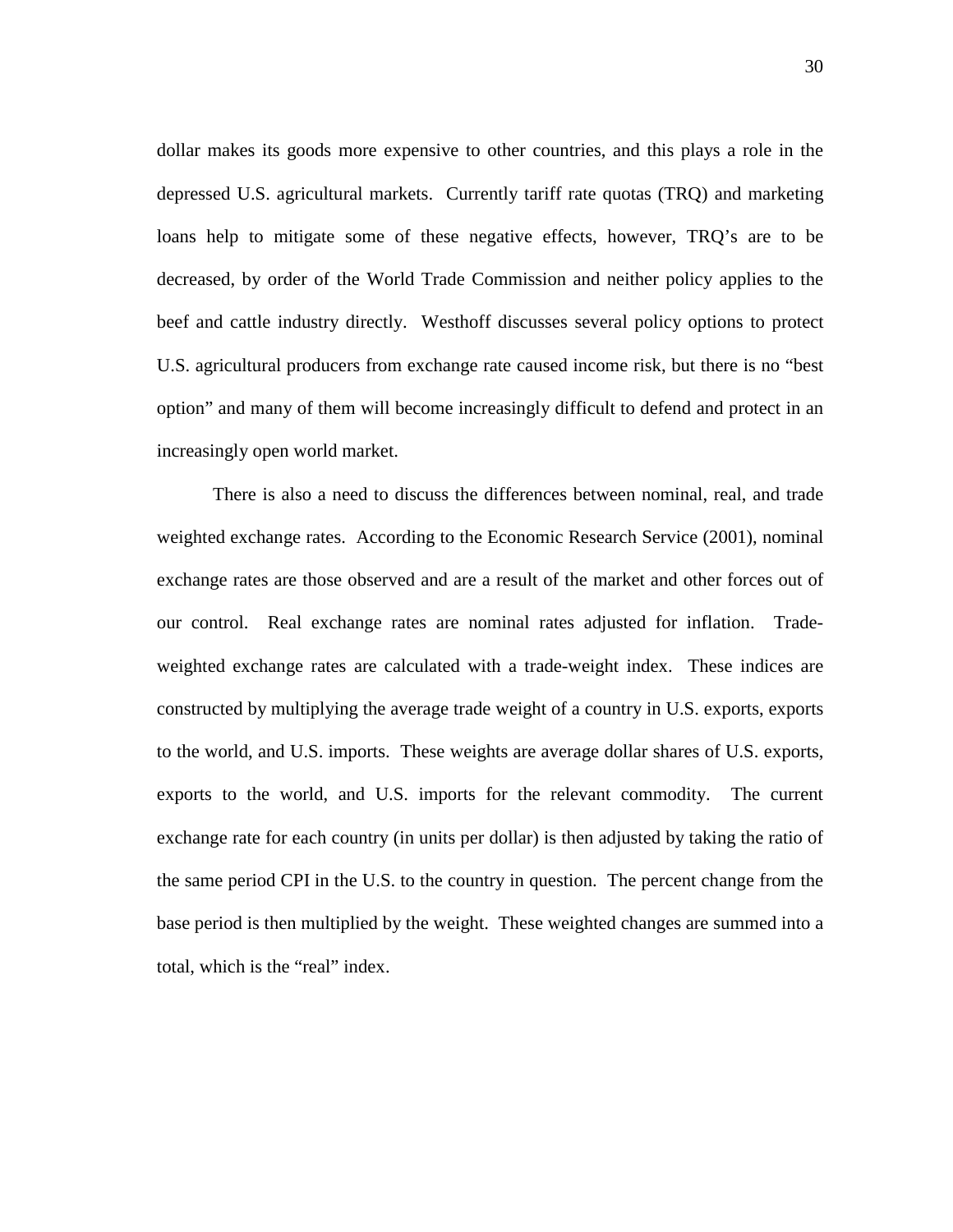dollar makes its goods more expensive to other countries, and this plays a role in the depressed U.S. agricultural markets. Currently tariff rate quotas (TRQ) and marketing loans help to mitigate some of these negative effects, however, TRQ's are to be decreased, by order of the World Trade Commission and neither policy applies to the beef and cattle industry directly. Westhoff discusses several policy options to protect U.S. agricultural producers from exchange rate caused income risk, but there is no "best option" and many of them will become increasingly difficult to defend and protect in an increasingly open world market.

There is also a need to discuss the differences between nominal, real, and trade weighted exchange rates. According to the Economic Research Service (2001), nominal exchange rates are those observed and are a result of the market and other forces out of our control. Real exchange rates are nominal rates adjusted for inflation. Tradeweighted exchange rates are calculated with a trade-weight index. These indices are constructed by multiplying the average trade weight of a country in U.S. exports, exports to the world, and U.S. imports. These weights are average dollar shares of U.S. exports, exports to the world, and U.S. imports for the relevant commodity. The current exchange rate for each country (in units per dollar) is then adjusted by taking the ratio of the same period CPI in the U.S. to the country in question. The percent change from the base period is then multiplied by the weight. These weighted changes are summed into a total, which is the "real" index.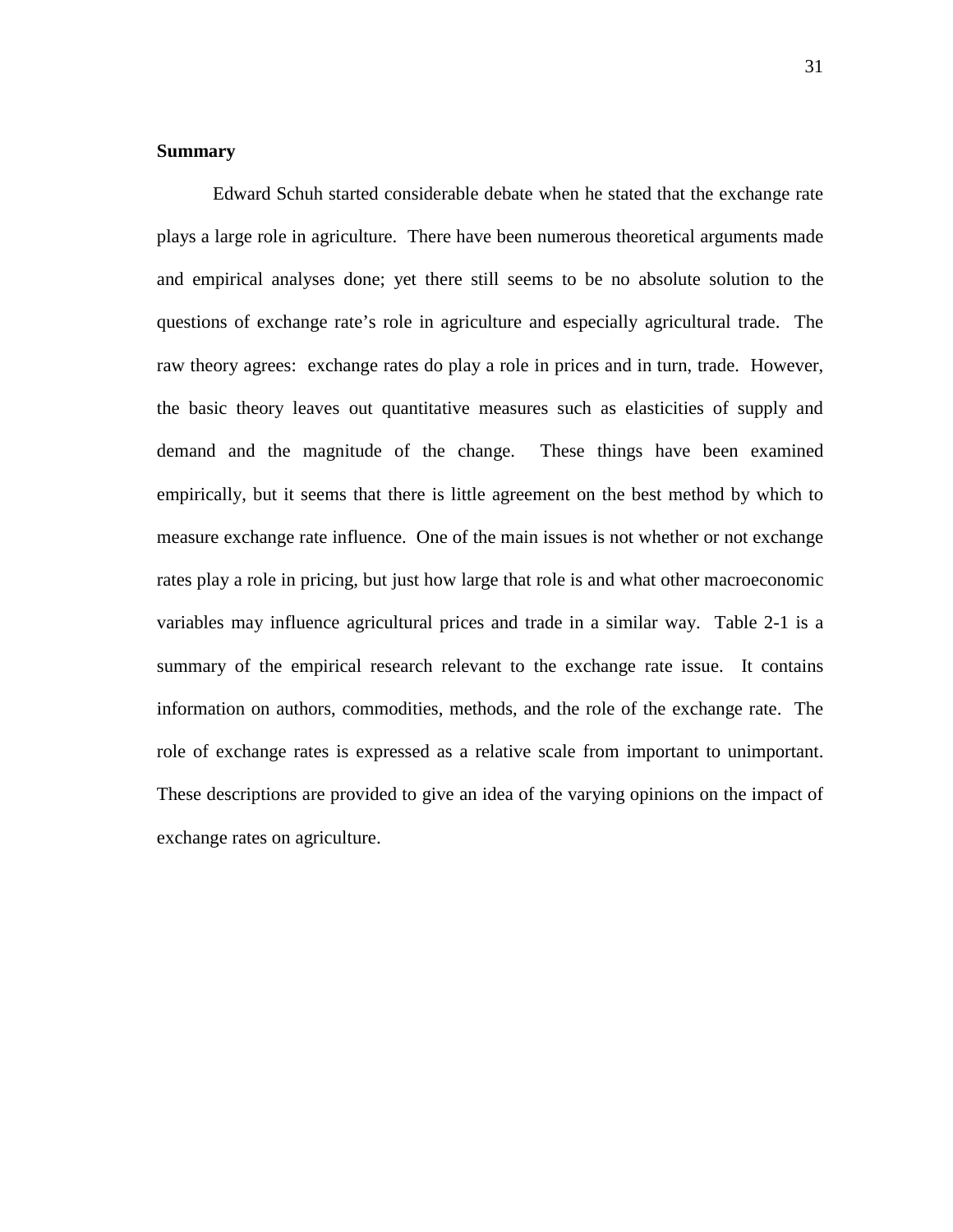# **Summary**

Edward Schuh started considerable debate when he stated that the exchange rate plays a large role in agriculture. There have been numerous theoretical arguments made and empirical analyses done; yet there still seems to be no absolute solution to the questions of exchange rate's role in agriculture and especially agricultural trade. The raw theory agrees: exchange rates do play a role in prices and in turn, trade. However, the basic theory leaves out quantitative measures such as elasticities of supply and demand and the magnitude of the change. These things have been examined empirically, but it seems that there is little agreement on the best method by which to measure exchange rate influence. One of the main issues is not whether or not exchange rates play a role in pricing, but just how large that role is and what other macroeconomic variables may influence agricultural prices and trade in a similar way. Table 2-1 is a summary of the empirical research relevant to the exchange rate issue. It contains information on authors, commodities, methods, and the role of the exchange rate. The role of exchange rates is expressed as a relative scale from important to unimportant. These descriptions are provided to give an idea of the varying opinions on the impact of exchange rates on agriculture.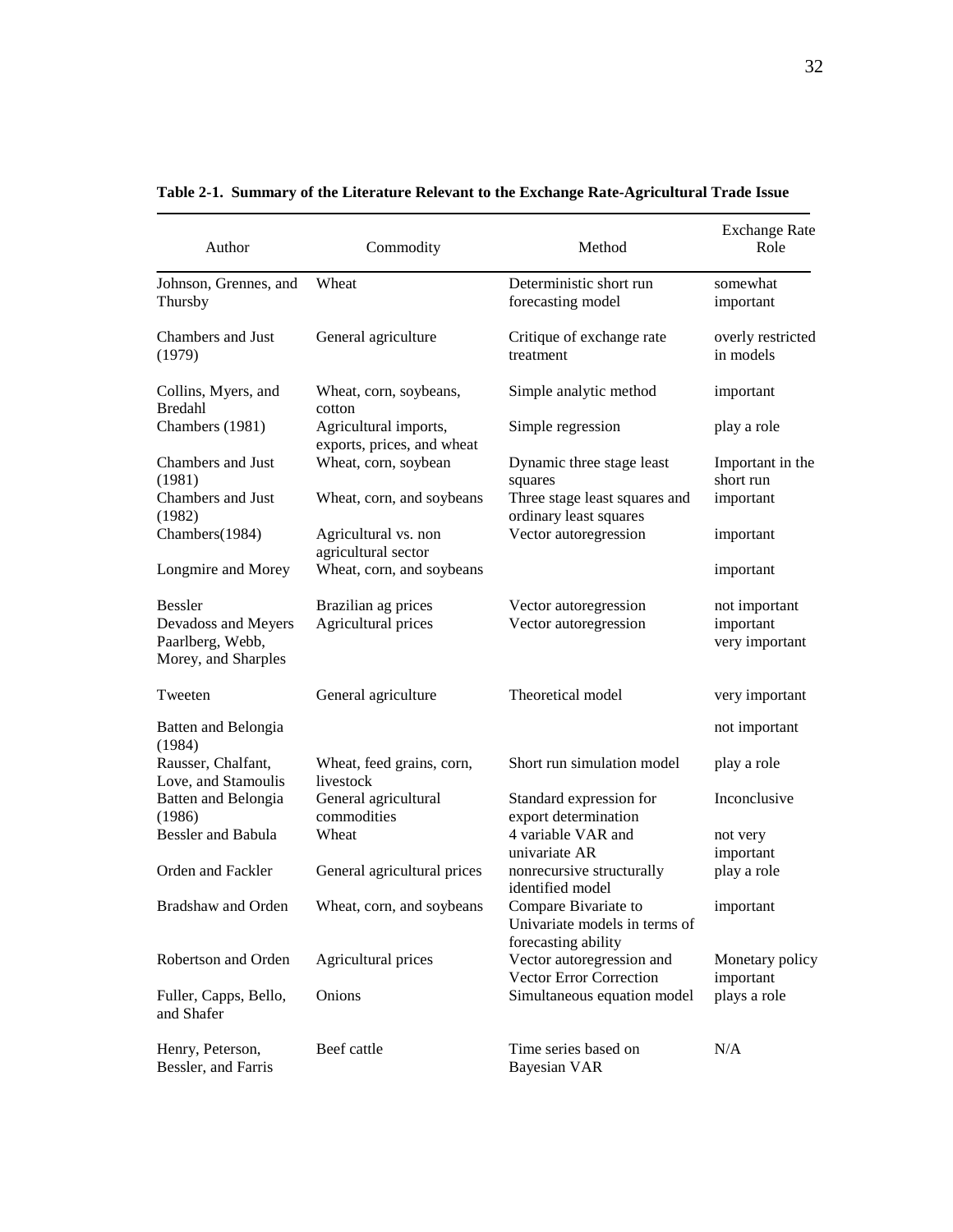| Author                                                                           | Commodity                                           | Method                                                                       | <b>Exchange Rate</b><br>Role                 |
|----------------------------------------------------------------------------------|-----------------------------------------------------|------------------------------------------------------------------------------|----------------------------------------------|
| Johnson, Grennes, and<br>Thursby                                                 | Wheat                                               | Deterministic short run<br>forecasting model                                 | somewhat<br>important                        |
| Chambers and Just<br>(1979)                                                      | General agriculture                                 | Critique of exchange rate<br>treatment                                       | overly restricted<br>in models               |
| Collins, Myers, and<br><b>Bredahl</b>                                            | Wheat, corn, soybeans,<br>cotton                    | Simple analytic method                                                       | important                                    |
| Chambers (1981)                                                                  | Agricultural imports,<br>exports, prices, and wheat | Simple regression                                                            | play a role                                  |
| Chambers and Just<br>(1981)                                                      | Wheat, corn, soybean                                | Dynamic three stage least<br>squares                                         | Important in the<br>short run                |
| Chambers and Just<br>(1982)                                                      | Wheat, corn, and soybeans                           | Three stage least squares and<br>ordinary least squares                      | important                                    |
| Chambers(1984)                                                                   | Agricultural vs. non<br>agricultural sector         | Vector autoregression                                                        | important                                    |
| Longmire and Morey                                                               | Wheat, corn, and soybeans                           |                                                                              | important                                    |
| <b>Bessler</b><br>Devadoss and Meyers<br>Paarlberg, Webb,<br>Morey, and Sharples | Brazilian ag prices<br>Agricultural prices          | Vector autoregression<br>Vector autoregression                               | not important<br>important<br>very important |
| Tweeten                                                                          | General agriculture                                 | Theoretical model                                                            | very important                               |
| Batten and Belongia<br>(1984)                                                    |                                                     |                                                                              | not important                                |
| Rausser, Chalfant,<br>Love, and Stamoulis                                        | Wheat, feed grains, corn,<br>livestock              | Short run simulation model                                                   | play a role                                  |
| <b>Batten and Belongia</b><br>(1986)                                             | General agricultural<br>commodities                 | Standard expression for<br>export determination                              | Inconclusive                                 |
| <b>Bessler</b> and Babula                                                        | Wheat                                               | 4 variable VAR and<br>univariate AR                                          | not very<br>important                        |
| Orden and Fackler                                                                | General agricultural prices                         | nonrecursive structurally<br>identified model                                | play a role                                  |
| <b>Bradshaw and Orden</b>                                                        | Wheat, corn, and soybeans                           | Compare Bivariate to<br>Univariate models in terms of<br>forecasting ability | important                                    |
| Robertson and Orden                                                              | Agricultural prices                                 | Vector autoregression and<br>Vector Error Correction                         | Monetary policy<br>important                 |
| Fuller, Capps, Bello,<br>and Shafer                                              | Onions                                              | Simultaneous equation model                                                  | plays a role                                 |
| Henry, Peterson,<br>Bessler, and Farris                                          | Beef cattle                                         | Time series based on<br><b>Bayesian VAR</b>                                  | N/A                                          |

**Table 2-1. Summary of the Literature Relevant to the Exchange Rate-Agricultural Trade Issue**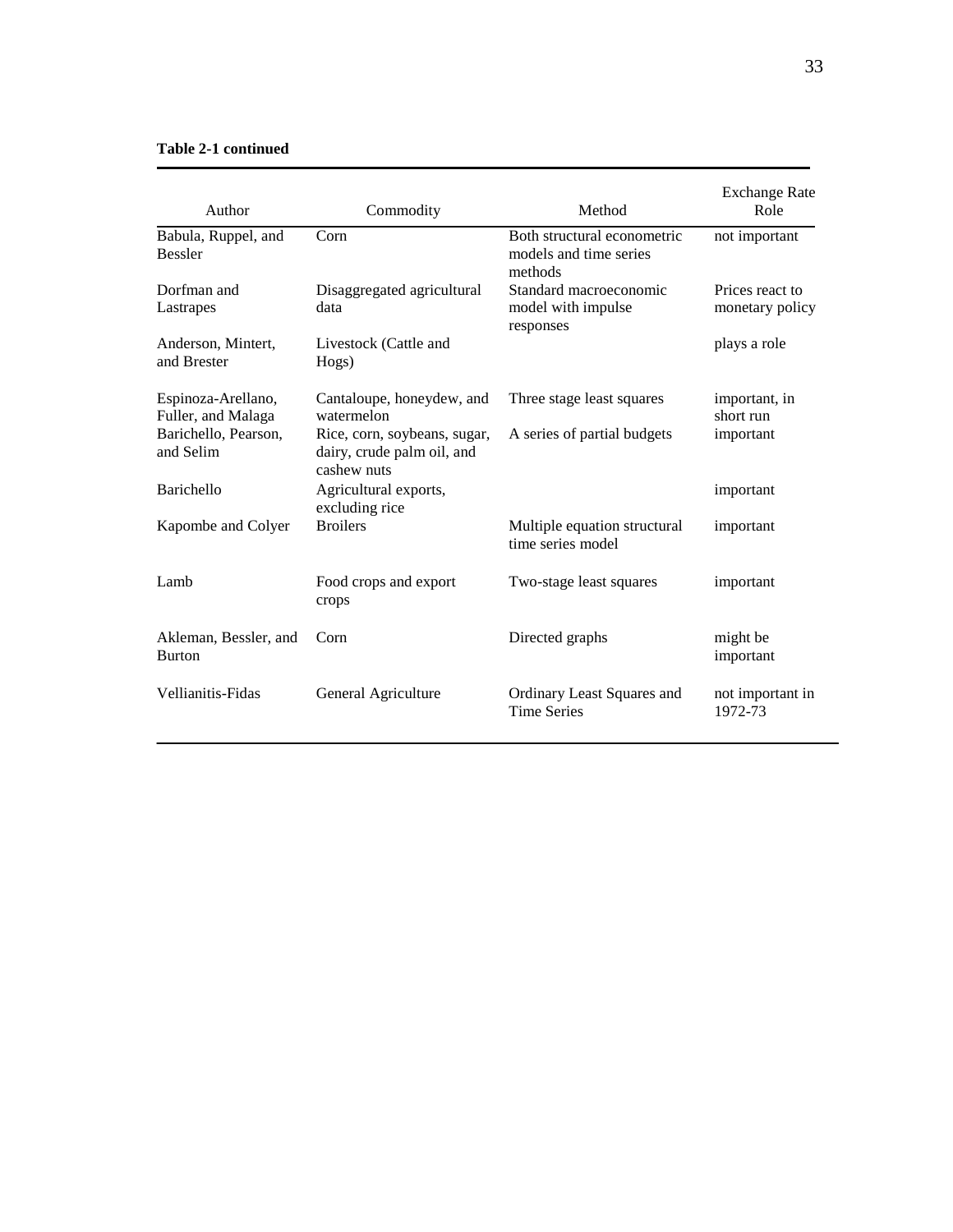## **Table 2-1 continued**

| Author                                   | Commodity                                                                 | Method                                                           | <b>Exchange Rate</b><br>Role       |
|------------------------------------------|---------------------------------------------------------------------------|------------------------------------------------------------------|------------------------------------|
| Babula, Ruppel, and<br><b>Bessler</b>    | Corn                                                                      | Both structural econometric<br>models and time series<br>methods | not important                      |
| Dorfman and<br>Lastrapes                 | Disaggregated agricultural<br>data                                        | Standard macroeconomic<br>model with impulse<br>responses        | Prices react to<br>monetary policy |
| Anderson, Mintert,<br>and Brester        | Livestock (Cattle and<br>Hogs)                                            |                                                                  | plays a role                       |
| Espinoza-Arellano,<br>Fuller, and Malaga | Cantaloupe, honeydew, and<br>watermelon                                   | Three stage least squares                                        | important, in<br>short run         |
| Barichello, Pearson,<br>and Selim        | Rice, corn, soybeans, sugar,<br>dairy, crude palm oil, and<br>cashew nuts | A series of partial budgets                                      | important                          |
| Barichello                               | Agricultural exports,<br>excluding rice                                   |                                                                  | important                          |
| Kapombe and Colyer                       | <b>Broilers</b>                                                           | Multiple equation structural<br>time series model                | important                          |
| Lamb                                     | Food crops and export<br>crops                                            | Two-stage least squares                                          | important                          |
| Akleman, Bessler, and<br><b>Burton</b>   | Corn                                                                      | Directed graphs                                                  | might be<br>important              |
| Vellianitis-Fidas                        | General Agriculture                                                       | Ordinary Least Squares and<br><b>Time Series</b>                 | not important in<br>1972-73        |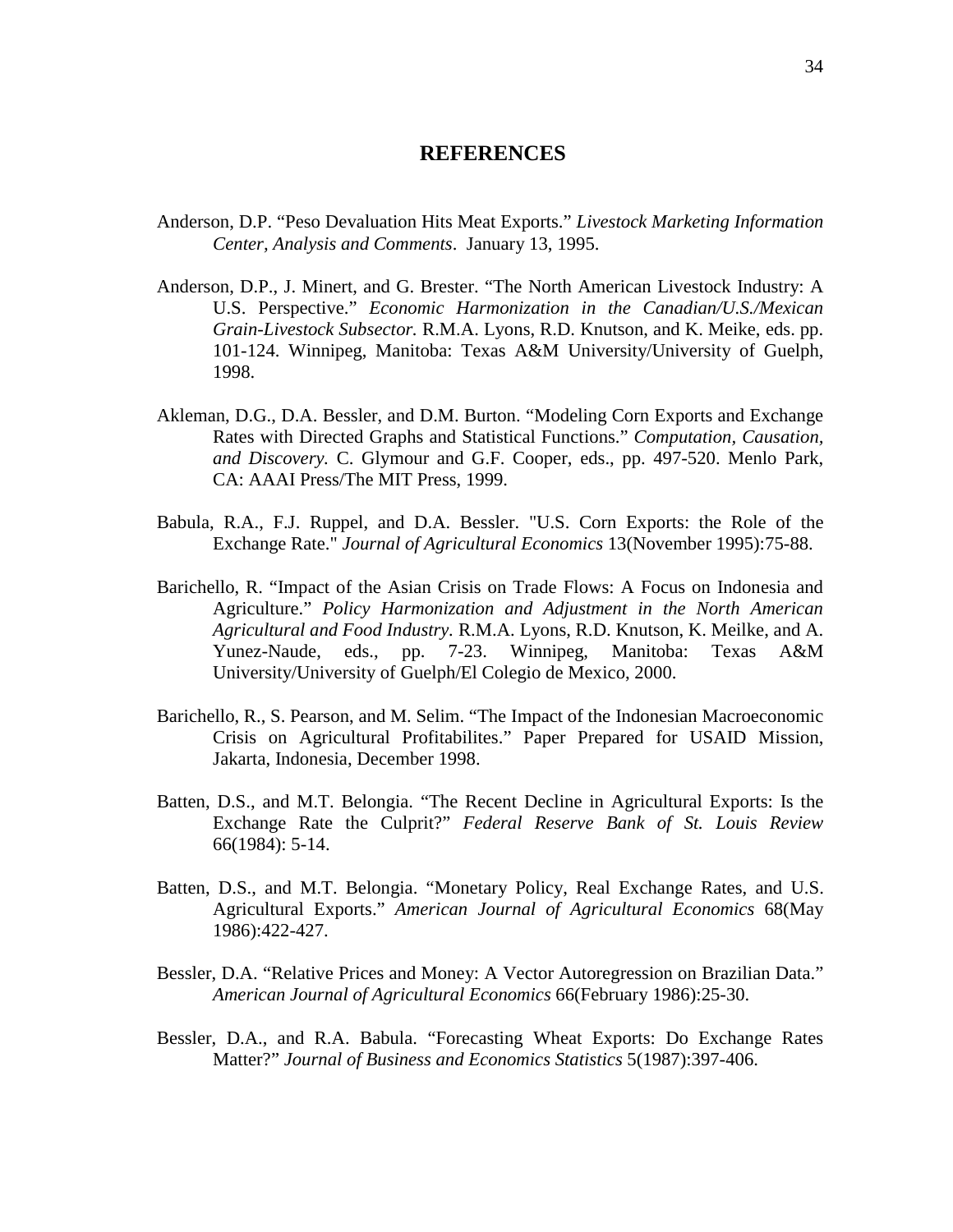# **REFERENCES**

- Anderson, D.P. "Peso Devaluation Hits Meat Exports." *Livestock Marketing Information Center, Analysis and Comments*. January 13, 1995.
- Anderson, D.P., J. Minert, and G. Brester. "The North American Livestock Industry: A U.S. Perspective." *Economic Harmonization in the Canadian/U.S./Mexican Grain-Livestock Subsector.* R.M.A. Lyons, R.D. Knutson, and K. Meike, eds. pp. 101-124. Winnipeg, Manitoba: Texas A&M University/University of Guelph, 1998.
- Akleman, D.G., D.A. Bessler, and D.M. Burton. "Modeling Corn Exports and Exchange Rates with Directed Graphs and Statistical Functions." *Computation, Causation, and Discovery.* C. Glymour and G.F. Cooper, eds., pp. 497-520. Menlo Park, CA: AAAI Press/The MIT Press, 1999.
- Babula, R.A., F.J. Ruppel, and D.A. Bessler. "U.S. Corn Exports: the Role of the Exchange Rate." *Journal of Agricultural Economics* 13(November 1995):75-88.
- Barichello, R. "Impact of the Asian Crisis on Trade Flows: A Focus on Indonesia and Agriculture." *Policy Harmonization and Adjustment in the North American Agricultural and Food Industry.* R.M.A. Lyons, R.D. Knutson, K. Meilke, and A. Yunez-Naude, eds., pp. 7-23. Winnipeg, Manitoba: Texas A&M University/University of Guelph/El Colegio de Mexico, 2000.
- Barichello, R., S. Pearson, and M. Selim. "The Impact of the Indonesian Macroeconomic Crisis on Agricultural Profitabilites." Paper Prepared for USAID Mission, Jakarta, Indonesia, December 1998.
- Batten, D.S., and M.T. Belongia. "The Recent Decline in Agricultural Exports: Is the Exchange Rate the Culprit?" *Federal Reserve Bank of St. Louis Review* 66(1984): 5-14.
- Batten, D.S., and M.T. Belongia. "Monetary Policy, Real Exchange Rates, and U.S. Agricultural Exports." *American Journal of Agricultural Economics* 68(May 1986):422-427.
- Bessler, D.A. "Relative Prices and Money: A Vector Autoregression on Brazilian Data." *American Journal of Agricultural Economics* 66(February 1986):25-30.
- Bessler, D.A., and R.A. Babula. "Forecasting Wheat Exports: Do Exchange Rates Matter?" *Journal of Business and Economics Statistics* 5(1987):397-406.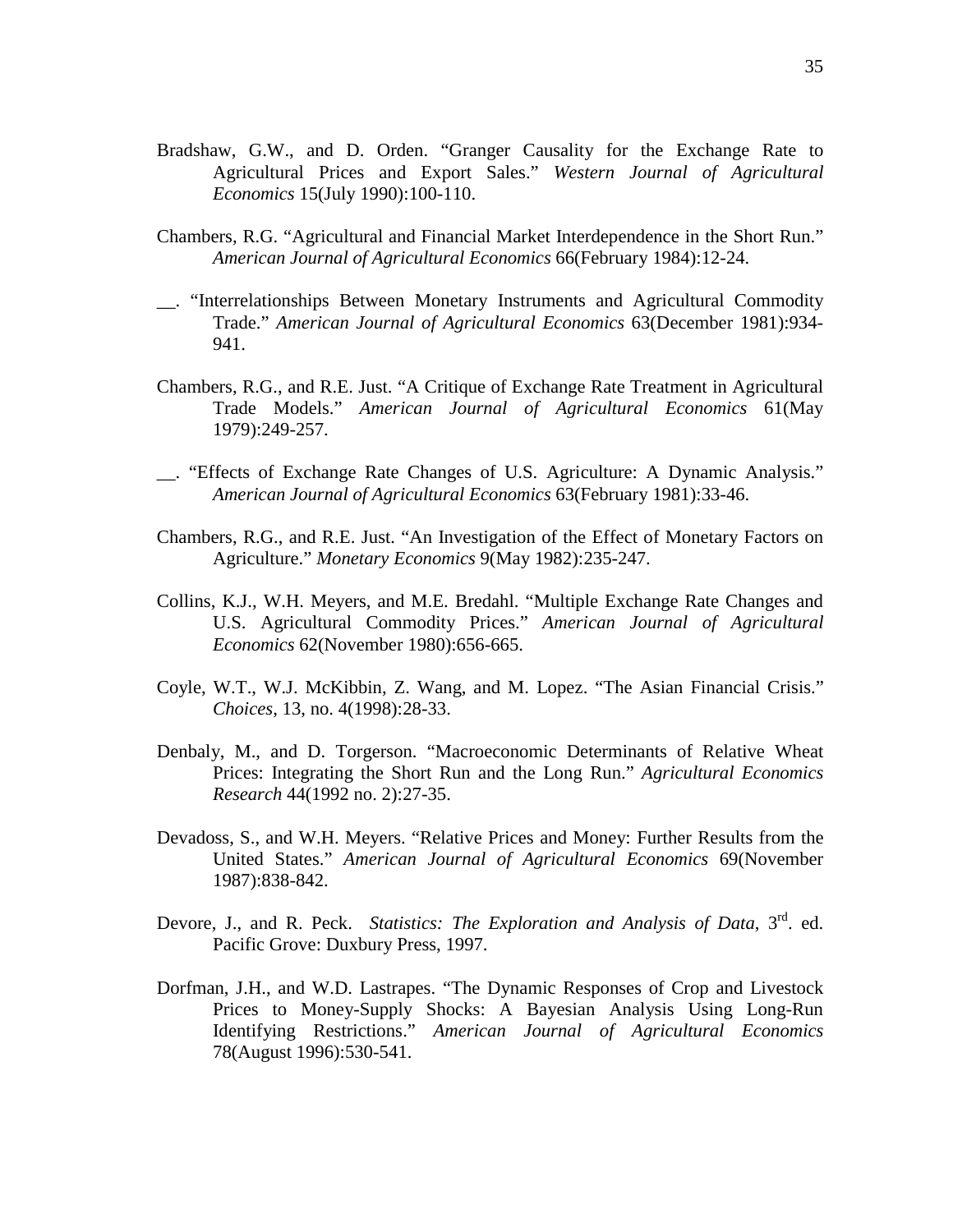- Bradshaw, G.W., and D. Orden. "Granger Causality for the Exchange Rate to Agricultural Prices and Export Sales." *Western Journal of Agricultural Economics* 15(July 1990):100-110.
- Chambers, R.G. "Agricultural and Financial Market Interdependence in the Short Run." *American Journal of Agricultural Economics* 66(February 1984):12-24.
- \_\_. "Interrelationships Between Monetary Instruments and Agricultural Commodity Trade." *American Journal of Agricultural Economics* 63(December 1981):934- 941.
- Chambers, R.G., and R.E. Just. "A Critique of Exchange Rate Treatment in Agricultural Trade Models." *American Journal of Agricultural Economics* 61(May 1979):249-257.
- \_\_. "Effects of Exchange Rate Changes of U.S. Agriculture: A Dynamic Analysis." *American Journal of Agricultural Economics* 63(February 1981):33-46.
- Chambers, R.G., and R.E. Just. "An Investigation of the Effect of Monetary Factors on Agriculture." *Monetary Economics* 9(May 1982):235-247.
- Collins, K.J., W.H. Meyers, and M.E. Bredahl. "Multiple Exchange Rate Changes and U.S. Agricultural Commodity Prices." *American Journal of Agricultural Economics* 62(November 1980):656-665.
- Coyle, W.T., W.J. McKibbin, Z. Wang, and M. Lopez. "The Asian Financial Crisis." *Choices*, 13, no. 4(1998):28-33.
- Denbaly, M., and D. Torgerson. "Macroeconomic Determinants of Relative Wheat Prices: Integrating the Short Run and the Long Run." *Agricultural Economics Research* 44(1992 no. 2):27-35.
- Devadoss, S., and W.H. Meyers. "Relative Prices and Money: Further Results from the United States." *American Journal of Agricultural Economics* 69(November 1987):838-842.
- Devore, J., and R. Peck. *Statistics: The Exploration and Analysis of Data*, 3<sup>rd</sup>. ed. Pacific Grove: Duxbury Press, 1997.
- Dorfman, J.H., and W.D. Lastrapes. "The Dynamic Responses of Crop and Livestock Prices to Money-Supply Shocks: A Bayesian Analysis Using Long-Run Identifying Restrictions." *American Journal of Agricultural Economics*  78(August 1996):530-541.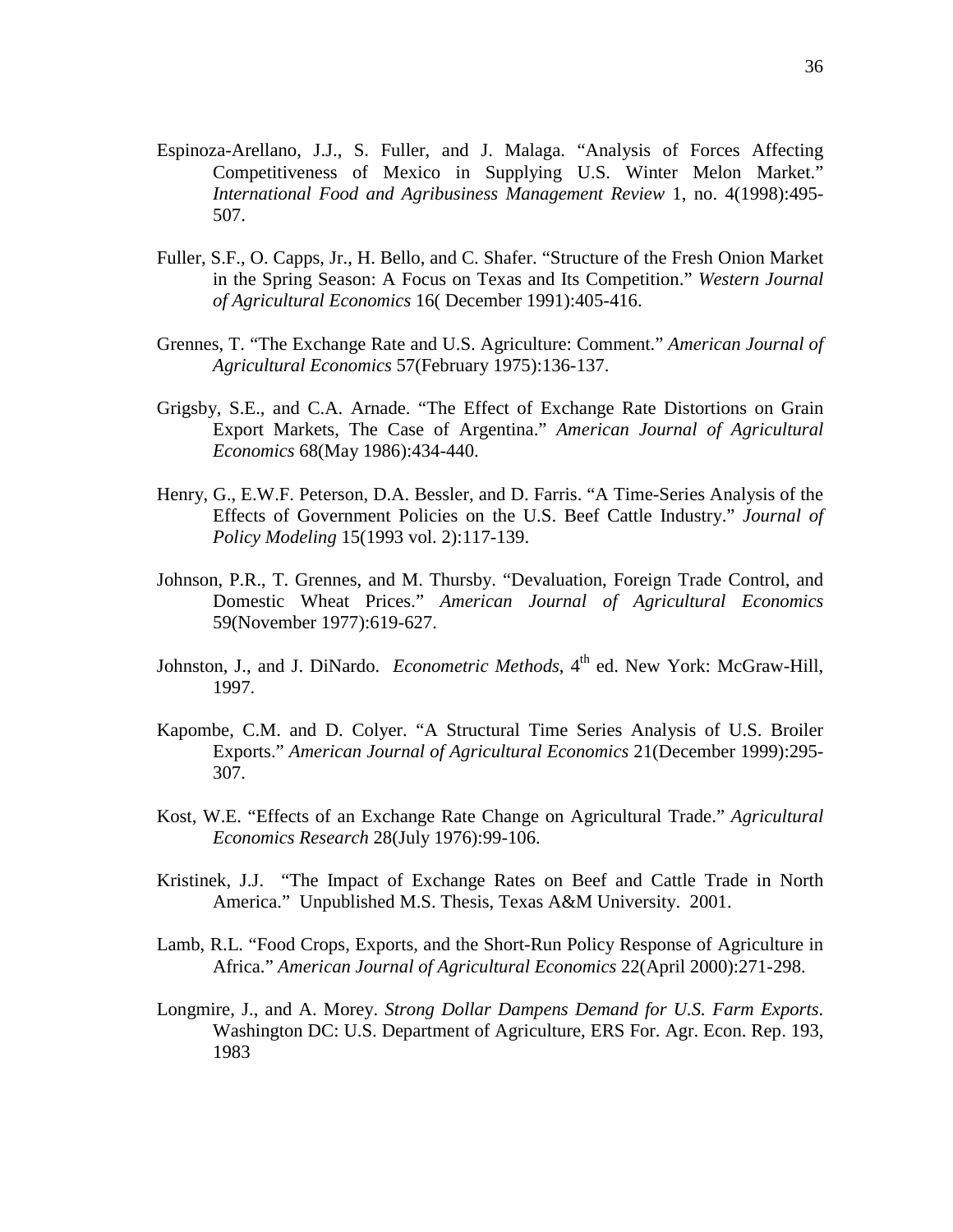- Espinoza-Arellano, J.J., S. Fuller, and J. Malaga. "Analysis of Forces Affecting Competitiveness of Mexico in Supplying U.S. Winter Melon Market." *International Food and Agribusiness Management Review* 1, no. 4(1998):495- 507.
- Fuller, S.F., O. Capps, Jr., H. Bello, and C. Shafer. "Structure of the Fresh Onion Market in the Spring Season: A Focus on Texas and Its Competition." *Western Journal of Agricultural Economics* 16( December 1991):405-416.
- Grennes, T. "The Exchange Rate and U.S. Agriculture: Comment." *American Journal of Agricultural Economics* 57(February 1975):136-137.
- Grigsby, S.E., and C.A. Arnade. "The Effect of Exchange Rate Distortions on Grain Export Markets, The Case of Argentina." *American Journal of Agricultural Economics* 68(May 1986):434-440.
- Henry, G., E.W.F. Peterson, D.A. Bessler, and D. Farris. "A Time-Series Analysis of the Effects of Government Policies on the U.S. Beef Cattle Industry." *Journal of Policy Modeling* 15(1993 vol. 2):117-139.
- Johnson, P.R., T. Grennes, and M. Thursby. "Devaluation, Foreign Trade Control, and Domestic Wheat Prices." *American Journal of Agricultural Economics*  59(November 1977):619-627.
- Johnston, J., and J. DiNardo. *Econometric Methods*, 4<sup>th</sup> ed. New York: McGraw-Hill, 1997.
- Kapombe, C.M. and D. Colyer. "A Structural Time Series Analysis of U.S. Broiler Exports." *American Journal of Agricultural Economics* 21(December 1999):295- 307.
- Kost, W.E. "Effects of an Exchange Rate Change on Agricultural Trade." *Agricultural Economics Research* 28(July 1976):99-106.
- Kristinek, J.J. "The Impact of Exchange Rates on Beef and Cattle Trade in North America." Unpublished M.S. Thesis, Texas A&M University. 2001.
- Lamb, R.L. "Food Crops, Exports, and the Short-Run Policy Response of Agriculture in Africa." *American Journal of Agricultural Economics* 22(April 2000):271-298.
- Longmire, J., and A. Morey. *Strong Dollar Dampens Demand for U.S. Farm Exports*. Washington DC: U.S. Department of Agriculture, ERS For. Agr. Econ. Rep. 193, 1983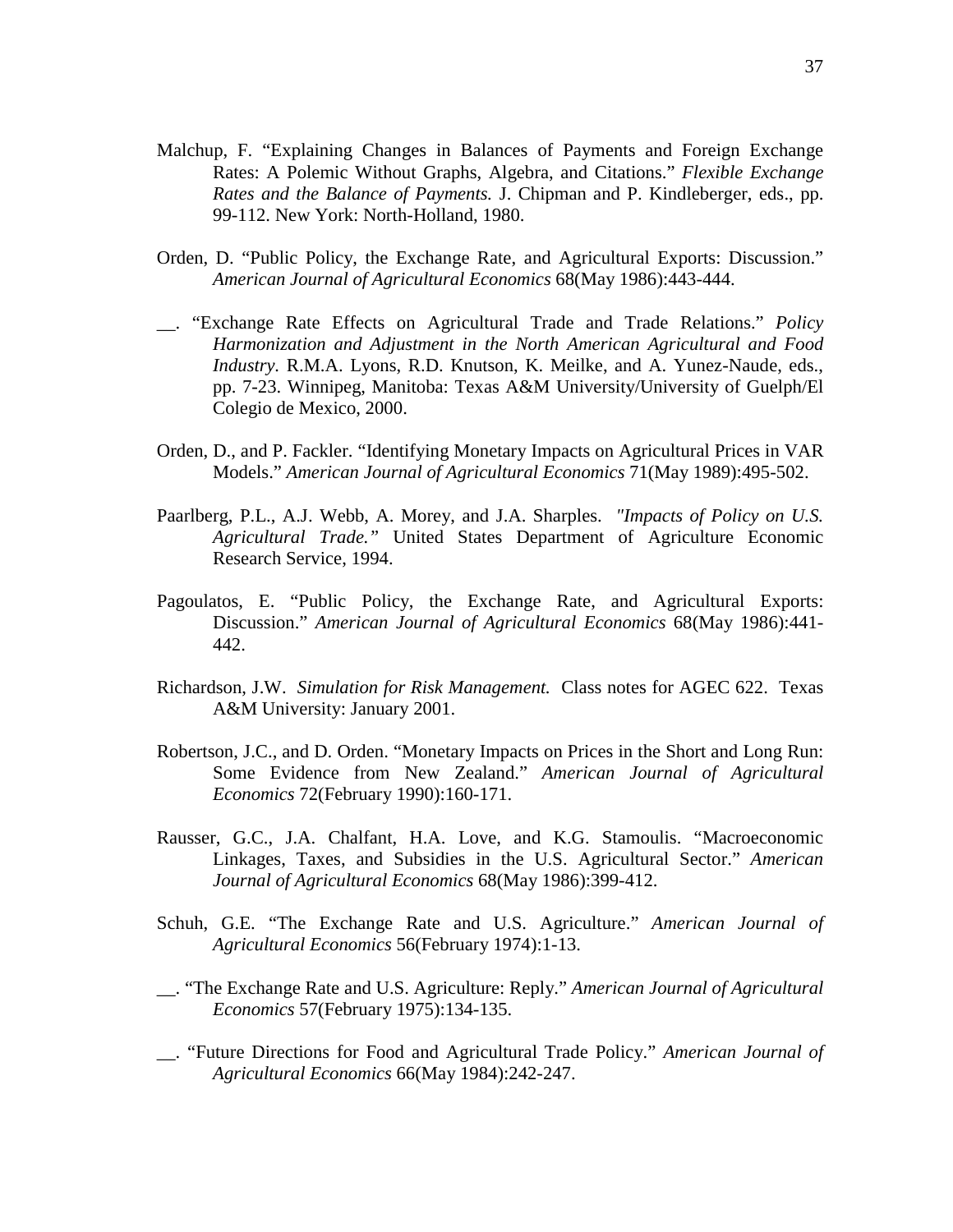- Malchup, F. "Explaining Changes in Balances of Payments and Foreign Exchange Rates: A Polemic Without Graphs, Algebra, and Citations." *Flexible Exchange Rates and the Balance of Payments.* J. Chipman and P. Kindleberger, eds., pp. 99-112. New York: North-Holland, 1980.
- Orden, D. "Public Policy, the Exchange Rate, and Agricultural Exports: Discussion." *American Journal of Agricultural Economics* 68(May 1986):443-444.
- \_\_. "Exchange Rate Effects on Agricultural Trade and Trade Relations." *Policy Harmonization and Adjustment in the North American Agricultural and Food Industry.* R.M.A. Lyons, R.D. Knutson, K. Meilke, and A. Yunez-Naude, eds., pp. 7-23. Winnipeg, Manitoba: Texas A&M University/University of Guelph/El Colegio de Mexico, 2000.
- Orden, D., and P. Fackler. "Identifying Monetary Impacts on Agricultural Prices in VAR Models." *American Journal of Agricultural Economics* 71(May 1989):495-502.
- Paarlberg, P.L., A.J. Webb, A. Morey, and J.A. Sharples. *"Impacts of Policy on U.S. Agricultural Trade."* United States Department of Agriculture Economic Research Service, 1994.
- Pagoulatos, E. "Public Policy, the Exchange Rate, and Agricultural Exports: Discussion." *American Journal of Agricultural Economics* 68(May 1986):441- 442.
- Richardson, J.W. *Simulation for Risk Management.* Class notes for AGEC 622. Texas A&M University: January 2001.
- Robertson, J.C., and D. Orden. "Monetary Impacts on Prices in the Short and Long Run: Some Evidence from New Zealand." *American Journal of Agricultural Economics* 72(February 1990):160-171.
- Rausser, G.C., J.A. Chalfant, H.A. Love, and K.G. Stamoulis. "Macroeconomic Linkages, Taxes, and Subsidies in the U.S. Agricultural Sector." *American Journal of Agricultural Economics* 68(May 1986):399-412.
- Schuh, G.E. "The Exchange Rate and U.S. Agriculture." *American Journal of Agricultural Economics* 56(February 1974):1-13.
- \_\_. "The Exchange Rate and U.S. Agriculture: Reply." *American Journal of Agricultural Economics* 57(February 1975):134-135.
- \_\_. "Future Directions for Food and Agricultural Trade Policy." *American Journal of Agricultural Economics* 66(May 1984):242-247.